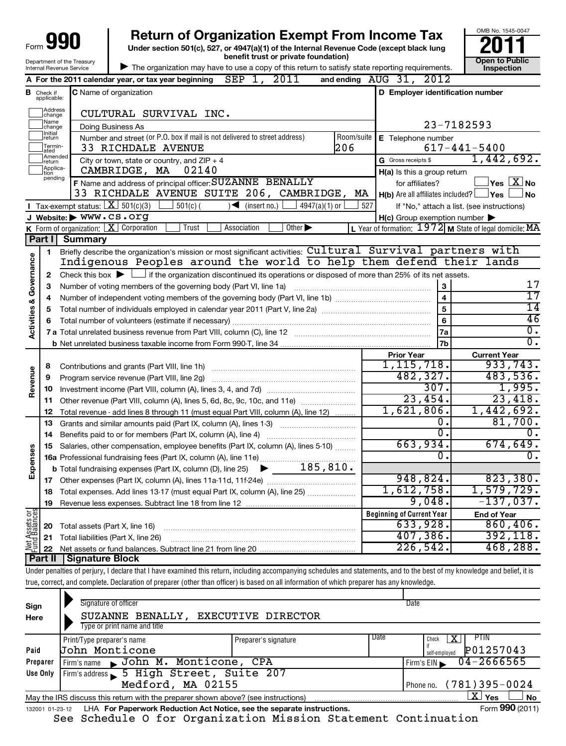| 990<br>Form '<br>J         |
|----------------------------|
| Department of the Treasury |
| Internal Revenue Service   |

**Under section 501(c), 527, or 4947(a)(1) of the Internal Revenue Code (except black lung benefit trust or private foundation) Construction Construction Construction Construction 990** Return of Organization Exempt From Income Tax <br>Under section 501(c), 527, or 4947(a)(1) of the Internal Revenue Code (except black lung **2011** 



| The organization may have to use a copy of this return to satisfy state reporting requirements.

|                                    |                             | 2011<br>A For the 2011 calendar year, or tax year beginning $SEP 1$ ,                                                                       |            | and ending AUG 31, 2012                             |                                                                    |
|------------------------------------|-----------------------------|---------------------------------------------------------------------------------------------------------------------------------------------|------------|-----------------------------------------------------|--------------------------------------------------------------------|
| в                                  | Check if<br>applicable:     | <b>C</b> Name of organization                                                                                                               |            | D Employer identification number                    |                                                                    |
|                                    | ]Address<br>]change         | CULTURAL SURVIVAL INC.                                                                                                                      |            |                                                     |                                                                    |
|                                    | Name<br>change              | Doing Business As                                                                                                                           |            | 23-7182593                                          |                                                                    |
|                                    | Initial<br>return           | Number and street (or P.O. box if mail is not delivered to street address)                                                                  | Room/suite | E Telephone number                                  |                                                                    |
|                                    | Termin-<br>ated             | 206<br>33 RICHDALE AVENUE                                                                                                                   |            |                                                     | $617 - 441 - 5400$                                                 |
|                                    | Amended<br>Ireturn          | City or town, state or country, and $ZIP + 4$                                                                                               |            | G Gross receipts \$                                 | 1,442,692.                                                         |
|                                    | Applica-<br>tion<br>pending | CAMBRIDGE, MA 02140                                                                                                                         |            | H(a) Is this a group return                         |                                                                    |
|                                    |                             | F Name and address of principal officer: SUZANNE BENALLY                                                                                    |            | for affiliates?                                     | $\sqrt{\mathsf{Yes}\mathord{\;\mathbb{X}}\mathord{\;\mathsf{No}}}$ |
|                                    |                             | 33 RICHDALE AVENUE SUITE 206, CAMBRIDGE,                                                                                                    | МA         | $H(b)$ Are all affiliates included? $\Box$ Yes      | ∫No                                                                |
|                                    |                             | <b>I</b> Tax-exempt status: $\boxed{\mathbf{X}}$ 501(c)(3)<br>$501(c)$ (<br>$\sqrt{\frac{1}{1}}$ (insert no.)<br>$4947(a)(1)$ or            | 527        |                                                     | If "No," attach a list. (see instructions)                         |
|                                    |                             | J Website: WWW.CS.Org                                                                                                                       |            | $H(c)$ Group exemption number $\blacktriangleright$ |                                                                    |
|                                    |                             | <b>K</b> Form of organization: $X$ Corporation<br>Other $\blacktriangleright$<br>Trust<br>Association                                       |            |                                                     | L Year of formation: $1972$ M State of legal domicile: MA          |
|                                    | Part II                     | Summary<br>Briefly describe the organization's mission or most significant activities: Cultural Survival partners with                      |            |                                                     |                                                                    |
|                                    | 1                           | Indigenous Peoples around the world to help them defend their lands                                                                         |            |                                                     |                                                                    |
| <b>Activities &amp; Governance</b> | $\mathbf{2}$                | Check this box $\blacktriangleright$ $\Box$ if the organization discontinued its operations or disposed of more than 25% of its net assets. |            |                                                     |                                                                    |
|                                    | 3                           | Number of voting members of the governing body (Part VI, line 1a)                                                                           |            | 3                                                   | 17                                                                 |
|                                    | 4                           |                                                                                                                                             |            | $\overline{\mathbf{4}}$                             | $\overline{17}$                                                    |
|                                    | 5                           |                                                                                                                                             |            | $\overline{5}$                                      | $\overline{14}$                                                    |
|                                    | 6                           |                                                                                                                                             |            | 6                                                   | 46                                                                 |
|                                    |                             |                                                                                                                                             |            | 7a                                                  | $\overline{\mathfrak{o}}$ .                                        |
|                                    |                             |                                                                                                                                             |            | 7b                                                  | $\overline{0}$ .                                                   |
|                                    |                             |                                                                                                                                             |            | <b>Prior Year</b>                                   | <b>Current Year</b>                                                |
|                                    | 8                           | Contributions and grants (Part VIII, line 1h)                                                                                               |            | 1,115,718.                                          | 933,743.                                                           |
| Revenue                            | 9                           | Program service revenue (Part VIII, line 2g)                                                                                                |            | 482,327.                                            | 483,536.                                                           |
|                                    | 10                          |                                                                                                                                             |            | 307.                                                | 1,995.                                                             |
|                                    | 11                          | Other revenue (Part VIII, column (A), lines 5, 6d, 8c, 9c, 10c, and 11e)                                                                    |            | 23,454.                                             | 23,418.                                                            |
|                                    | 12                          | Total revenue - add lines 8 through 11 (must equal Part VIII, column (A), line 12)                                                          |            | 1,621,806.                                          | 1,442,692.                                                         |
|                                    | 13                          | Grants and similar amounts paid (Part IX, column (A), lines 1-3)                                                                            |            | 0.<br>$\overline{0}$ .                              | 81,700.                                                            |
|                                    | 14                          |                                                                                                                                             |            | 663,934.                                            | 0.<br>674,649.                                                     |
|                                    | 15                          | Salaries, other compensation, employee benefits (Part IX, column (A), lines 5-10)                                                           |            | 0.                                                  | 0.                                                                 |
| Expenses                           |                             | 185, 810.                                                                                                                                   |            |                                                     |                                                                    |
|                                    |                             | <b>b</b> Total fundraising expenses (Part IX, column (D), line 25) $\blacktriangleright$                                                    |            | 948,824.                                            | 823,380.                                                           |
|                                    | 18                          | Total expenses. Add lines 13-17 (must equal Part IX, column (A), line 25)                                                                   |            | 1,612,758.                                          | 1,579,729.                                                         |
|                                    | 19                          |                                                                                                                                             |            | 9,048.                                              | $-137,037.$                                                        |
|                                    |                             |                                                                                                                                             |            | Beginning of Current Year                           | <b>End of Year</b>                                                 |
| Assets or                          | 20                          | Total assets (Part X, line 16)                                                                                                              |            | 633,928.                                            | 860, 406.                                                          |
|                                    | 21                          | Total liabilities (Part X, line 26)                                                                                                         |            | 407,386.                                            | 392, 118.                                                          |
|                                    |                             |                                                                                                                                             |            | $226,542$ .                                         | 468,288.                                                           |
|                                    |                             | Part II   Signature Block                                                                                                                   |            |                                                     |                                                                    |

Under penalties of perjury, I declare that I have examined this return, including accompanying schedules and statements, and to the best of my knowledge and belief, it is true, correct, and complete. Declaration of preparer (other than officer) is based on all information of which preparer has any knowledge.

| Sign<br>Here    | Signature of officer<br>SUZANNE BENALLY,<br>Type or print name and title          | <b>EXECUTIVE DIRECTOR</b> |      | Date                                                    |
|-----------------|-----------------------------------------------------------------------------------|---------------------------|------|---------------------------------------------------------|
| Paid            | Print/Type preparer's name<br>John Monticone                                      | Preparer's signature      | Date | <b>PTIN</b><br>x<br>Check<br>P01257043<br>self-employed |
| Preparer        | Firm's name John M. Monticone, CPA                                                |                           |      | $04 - 2666565$<br>Firm's $EIN$                          |
| Use Only        | Firm's address 5 High Street, Suite 207                                           |                           |      |                                                         |
|                 | Medford, MA 02155                                                                 |                           |      | $(781)395 - 0024$<br>Phone no.                          |
|                 | May the IRS discuss this return with the preparer shown above? (see instructions) |                           |      | $\mathbf{X}$ Yes<br>No                                  |
| 132001 01-23-12 | LHA For Paperwork Reduction Act Notice, see the separate instructions.            |                           |      | Form 990 (2011)                                         |

See Schedule O for Organization Mission Statement Continuation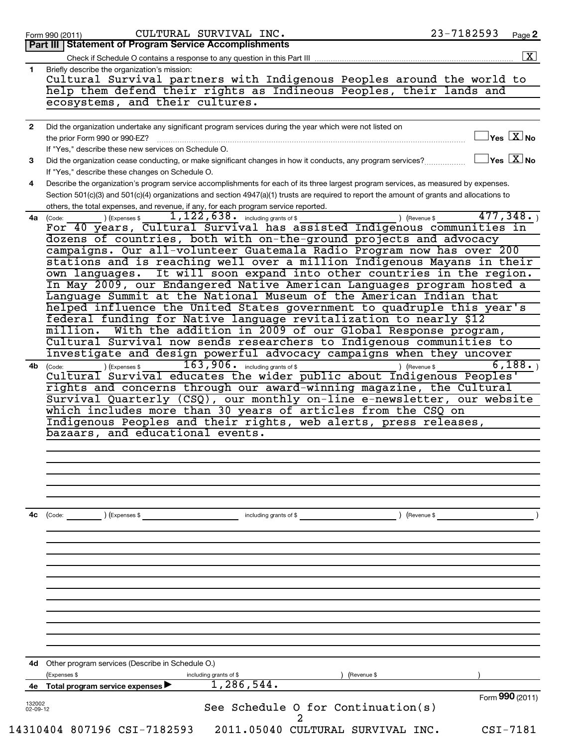|                | 23-7182593<br>CULTURAL SURVIVAL INC.<br>Page 2<br>Form 990 (2011)                                                                                                                             |
|----------------|-----------------------------------------------------------------------------------------------------------------------------------------------------------------------------------------------|
|                | Part III   Statement of Program Service Accomplishments                                                                                                                                       |
|                | Check if Schedule O contains a response to any question in this Part III                                                                                                                      |
| 1              | Briefly describe the organization's mission:                                                                                                                                                  |
|                | Cultural Survival partners with Indigenous Peoples around the world to                                                                                                                        |
|                | help them defend their rights as Indineous Peoples, their lands and                                                                                                                           |
|                | ecosystems, and their cultures.                                                                                                                                                               |
| $\mathbf{2}$   | Did the organization undertake any significant program services during the year which were not listed on                                                                                      |
|                | $\sqrt{\mathsf{Yes}\mathord{\;\mathbb{X}}\mathord{\;\mathsf{No}}}$<br>the prior Form 990 or 990-EZ?                                                                                           |
|                | If "Yes," describe these new services on Schedule O.                                                                                                                                          |
| 3              | $\sqrt{\mathsf{Yes}\mathord{\;\mathbb{X}}\mathord{\;\mathsf{No}}}$<br>Did the organization cease conducting, or make significant changes in how it conducts, any program services?            |
|                | If "Yes," describe these changes on Schedule O.                                                                                                                                               |
| 4              | Describe the organization's program service accomplishments for each of its three largest program services, as measured by expenses.                                                          |
|                | Section 501(c)(3) and 501(c)(4) organizations and section 4947(a)(1) trusts are required to report the amount of grants and allocations to                                                    |
|                | others, the total expenses, and revenue, if any, for each program service reported.<br>$1,122,638$ $\cdot$ including grants of \$<br>477,348.<br>) (Expenses \$<br>) (Revenue \$<br>4a (Code: |
|                | For 40 years, Cultural Survival has assisted Indigenous communities in                                                                                                                        |
|                | dozens of countries, both with on-the-ground projects and advocacy                                                                                                                            |
|                | campaigns. Our all-volunteer Guatemala Radio Program now has over 200                                                                                                                         |
|                | stations and is reaching well over a million Indigenous Mayans in their                                                                                                                       |
|                | own languages. It will soon expand into other countries in the region.                                                                                                                        |
|                | In May 2009, our Endangered Native American Languages program hosted a                                                                                                                        |
|                | Language Summit at the National Museum of the American Indian that                                                                                                                            |
|                | helped influence the United States government to quadruple this year's                                                                                                                        |
|                | federal funding for Native language revitalization to nearly \$12                                                                                                                             |
|                | With the addition in 2009 of our Global Response program,<br>million.                                                                                                                         |
|                | Cultural Survival now sends researchers to Indigenous communities to<br>investigate and design powerful advocacy campaigns when they uncover                                                  |
| 4b             | $163,906$ $\cdot$ including grants of \$<br>6,188.<br>) (Revenue \$<br>) (Expenses \$                                                                                                         |
|                | (Code:<br>Cultural Survival educates the wider public about Indigenous Peoples'                                                                                                               |
|                | rights and concerns through our award-winning magazine, the Cultural                                                                                                                          |
|                | Survival Quarterly (CSQ), our monthly on-line e-newsletter, our website                                                                                                                       |
|                | which includes more than 30 years of articles from the CSQ on                                                                                                                                 |
|                | Indigenous Peoples and their rights, web alerts, press releases,                                                                                                                              |
|                | bazaars, and educational events.                                                                                                                                                              |
|                |                                                                                                                                                                                               |
|                |                                                                                                                                                                                               |
|                |                                                                                                                                                                                               |
|                |                                                                                                                                                                                               |
|                |                                                                                                                                                                                               |
|                |                                                                                                                                                                                               |
|                |                                                                                                                                                                                               |
|                | $\left(\text{Code:} \right)$ $\left(\text{Expenses $}\right)$<br>including grants of \$<br>) (Revenue \$                                                                                      |
|                |                                                                                                                                                                                               |
|                |                                                                                                                                                                                               |
|                |                                                                                                                                                                                               |
|                |                                                                                                                                                                                               |
|                |                                                                                                                                                                                               |
|                |                                                                                                                                                                                               |
|                |                                                                                                                                                                                               |
|                |                                                                                                                                                                                               |
|                |                                                                                                                                                                                               |
|                |                                                                                                                                                                                               |
|                | <b>4d</b> Other program services (Describe in Schedule O.)                                                                                                                                    |
|                | (Expenses \$<br>including grants of \$<br>(Revenue \$                                                                                                                                         |
| 4c<br>4е       | 1,286,544.<br>Total program service expenses ▶                                                                                                                                                |
| 132002         | Form 990 (2011)                                                                                                                                                                               |
| $02 - 09 - 12$ | See Schedule O for Continuation(s)                                                                                                                                                            |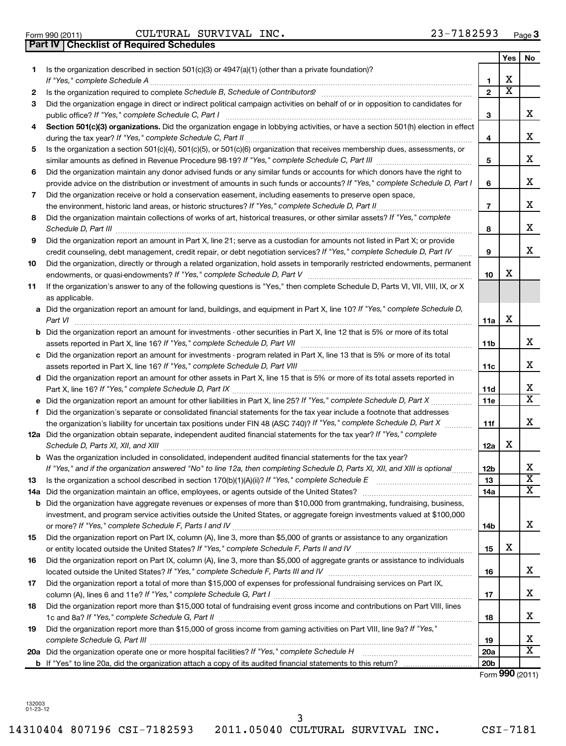132003 01-23-12 14310404 807196 CSI-7182593 2011.05040 CULTURAL SURVIVAL INC. CSI-7181 3

|     | Part IV   Checklist of Required Schedules                                                                                                                                                                                                          |                 |                         |                         |
|-----|----------------------------------------------------------------------------------------------------------------------------------------------------------------------------------------------------------------------------------------------------|-----------------|-------------------------|-------------------------|
|     |                                                                                                                                                                                                                                                    |                 | Yes                     | No                      |
| 1.  | Is the organization described in section $501(c)(3)$ or $4947(a)(1)$ (other than a private foundation)?                                                                                                                                            |                 |                         |                         |
|     | If "Yes," complete Schedule A                                                                                                                                                                                                                      | 1               | х                       |                         |
| 2   |                                                                                                                                                                                                                                                    | $\overline{2}$  | $\overline{\textbf{x}}$ |                         |
| 3   | Did the organization engage in direct or indirect political campaign activities on behalf of or in opposition to candidates for                                                                                                                    |                 |                         |                         |
|     |                                                                                                                                                                                                                                                    | 3               |                         | х                       |
| 4   | Section 501(c)(3) organizations. Did the organization engage in lobbying activities, or have a section 501(h) election in effect                                                                                                                   |                 |                         |                         |
|     |                                                                                                                                                                                                                                                    | 4               |                         | х                       |
| 5   | Is the organization a section 501(c)(4), 501(c)(5), or 501(c)(6) organization that receives membership dues, assessments, or                                                                                                                       |                 |                         |                         |
|     |                                                                                                                                                                                                                                                    | 5               |                         | х                       |
| 6   | Did the organization maintain any donor advised funds or any similar funds or accounts for which donors have the right to                                                                                                                          |                 |                         |                         |
|     | provide advice on the distribution or investment of amounts in such funds or accounts? If "Yes," complete Schedule D, Part I                                                                                                                       | 6               |                         | х                       |
| 7   | Did the organization receive or hold a conservation easement, including easements to preserve open space,                                                                                                                                          |                 |                         |                         |
|     | the environment, historic land areas, or historic structures? If "Yes," complete Schedule D, Part II                                                                                                                                               | $\overline{7}$  |                         | х                       |
| 8   | Did the organization maintain collections of works of art, historical treasures, or other similar assets? If "Yes," complete                                                                                                                       |                 |                         |                         |
|     | Schedule D, Part III <b>Marting Community</b> Construction of the United Schedule D, Part III                                                                                                                                                      | 8               |                         | х                       |
| 9   | Did the organization report an amount in Part X, line 21; serve as a custodian for amounts not listed in Part X; or provide                                                                                                                        |                 |                         |                         |
|     | credit counseling, debt management, credit repair, or debt negotiation services? If "Yes," complete Schedule D, Part IV                                                                                                                            | 9               |                         | х                       |
| 10  | Did the organization, directly or through a related organization, hold assets in temporarily restricted endowments, permanent                                                                                                                      |                 |                         |                         |
|     |                                                                                                                                                                                                                                                    | 10              | x                       |                         |
| 11  | If the organization's answer to any of the following questions is "Yes," then complete Schedule D, Parts VI, VII, VIII, IX, or X                                                                                                                   |                 |                         |                         |
|     | as applicable.                                                                                                                                                                                                                                     |                 |                         |                         |
|     | a Did the organization report an amount for land, buildings, and equipment in Part X, line 10? If "Yes," complete Schedule D,                                                                                                                      |                 |                         |                         |
|     | Part VI                                                                                                                                                                                                                                            | 11a             | х                       |                         |
|     | <b>b</b> Did the organization report an amount for investments - other securities in Part X, line 12 that is 5% or more of its total                                                                                                               |                 |                         |                         |
|     |                                                                                                                                                                                                                                                    | 11b             |                         | х                       |
|     | c Did the organization report an amount for investments - program related in Part X, line 13 that is 5% or more of its total                                                                                                                       |                 |                         |                         |
|     |                                                                                                                                                                                                                                                    | 11c             |                         | х                       |
|     | d Did the organization report an amount for other assets in Part X, line 15 that is 5% or more of its total assets reported in                                                                                                                     |                 |                         |                         |
|     |                                                                                                                                                                                                                                                    | 11d             |                         | X                       |
|     |                                                                                                                                                                                                                                                    | 11e             |                         | $\overline{\texttt{x}}$ |
| f   | Did the organization's separate or consolidated financial statements for the tax year include a footnote that addresses                                                                                                                            |                 |                         |                         |
|     | the organization's liability for uncertain tax positions under FIN 48 (ASC 740)? If "Yes," complete Schedule D, Part X                                                                                                                             | 11f             |                         | х                       |
|     | 12a Did the organization obtain separate, independent audited financial statements for the tax year? If "Yes," complete                                                                                                                            |                 |                         |                         |
|     |                                                                                                                                                                                                                                                    |                 | х                       |                         |
|     | Schedule D, Parts XI, XII, and XIII                                                                                                                                                                                                                | 12a             |                         |                         |
|     | <b>b</b> Was the organization included in consolidated, independent audited financial statements for the tax year?<br>If "Yes," and if the organization answered "No" to line 12a, then completing Schedule D, Parts XI, XII, and XIII is optional |                 |                         | Χ                       |
|     |                                                                                                                                                                                                                                                    | 12b             |                         | $\overline{\textbf{x}}$ |
| 13  | Did the organization maintain an office, employees, or agents outside of the United States? [111] Did the organization maintain an office, employees, or agents outside of the United States?                                                      | 13              |                         | х                       |
| 14a |                                                                                                                                                                                                                                                    | 14a             |                         |                         |
|     | <b>b</b> Did the organization have aggregate revenues or expenses of more than \$10,000 from grantmaking, fundraising, business,                                                                                                                   |                 |                         |                         |
|     | investment, and program service activities outside the United States, or aggregate foreign investments valued at \$100,000                                                                                                                         |                 |                         | x                       |
|     | Did the organization report on Part IX, column (A), line 3, more than \$5,000 of grants or assistance to any organization                                                                                                                          | 14b             |                         |                         |
| 15  |                                                                                                                                                                                                                                                    |                 | х                       |                         |
|     |                                                                                                                                                                                                                                                    | 15              |                         |                         |
| 16  | Did the organization report on Part IX, column (A), line 3, more than \$5,000 of aggregate grants or assistance to individuals                                                                                                                     |                 |                         | x                       |
|     |                                                                                                                                                                                                                                                    | 16              |                         |                         |
| 17  | Did the organization report a total of more than \$15,000 of expenses for professional fundraising services on Part IX,                                                                                                                            |                 |                         | x                       |
|     |                                                                                                                                                                                                                                                    | 17              |                         |                         |
| 18  | Did the organization report more than \$15,000 total of fundraising event gross income and contributions on Part VIII, lines                                                                                                                       |                 |                         |                         |
|     | 1c and 8a? If "Yes," complete Schedule G, Part II                                                                                                                                                                                                  | 18              |                         | x                       |
| 19  | Did the organization report more than \$15,000 of gross income from gaming activities on Part VIII, line 9a? If "Yes,"                                                                                                                             |                 |                         |                         |
|     | complete Schedule G, Part III                                                                                                                                                                                                                      | 19              |                         | x                       |
|     |                                                                                                                                                                                                                                                    | 20a             |                         | х                       |
|     |                                                                                                                                                                                                                                                    | 20 <sub>b</sub> |                         |                         |

Form (2011) **990**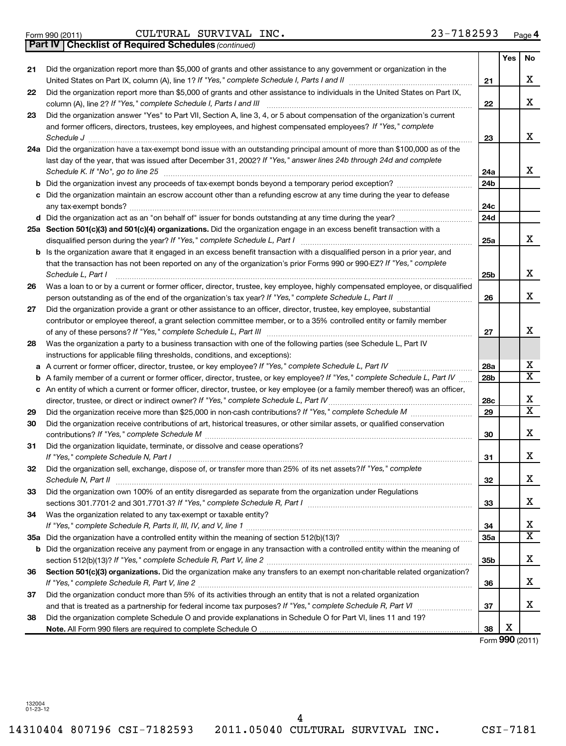Form 990 (2011) Page CULTURAL SURVIVAL INC. 23-7182593

*(continued)* **Part IV Checklist of Required Schedules**

|     |                                                                                                                                                                                                                                             |     | Yes | No |
|-----|---------------------------------------------------------------------------------------------------------------------------------------------------------------------------------------------------------------------------------------------|-----|-----|----|
| 21  | Did the organization report more than \$5,000 of grants and other assistance to any government or organization in the                                                                                                                       |     |     |    |
|     |                                                                                                                                                                                                                                             | 21  |     | X  |
| 22  | Did the organization report more than \$5,000 of grants and other assistance to individuals in the United States on Part IX,                                                                                                                | 22  |     | X  |
| 23  | Did the organization answer "Yes" to Part VII, Section A, line 3, 4, or 5 about compensation of the organization's current                                                                                                                  |     |     |    |
|     | and former officers, directors, trustees, key employees, and highest compensated employees? If "Yes," complete                                                                                                                              |     |     |    |
|     | Schedule J <b>Execute J Execute Contract Contract Contract Contract Contract Contract Contract Contract Contract Contract Contract Contract Contract Contract Contract Contract Contract Contract Contract Contract Contract C</b>          | 23  |     | X  |
|     | 24a Did the organization have a tax-exempt bond issue with an outstanding principal amount of more than \$100,000 as of the                                                                                                                 |     |     |    |
|     | last day of the year, that was issued after December 31, 2002? If "Yes," answer lines 24b through 24d and complete<br>Schedule K. If "No", go to line 25                                                                                    | 24a |     | x  |
| b   |                                                                                                                                                                                                                                             | 24b |     |    |
| c   | Did the organization maintain an escrow account other than a refunding escrow at any time during the year to defease                                                                                                                        |     |     |    |
|     |                                                                                                                                                                                                                                             | 24c |     |    |
|     |                                                                                                                                                                                                                                             | 24d |     |    |
|     | 25a Section 501(c)(3) and 501(c)(4) organizations. Did the organization engage in an excess benefit transaction with a                                                                                                                      |     |     |    |
|     |                                                                                                                                                                                                                                             | 25a |     | x  |
|     | Is the organization aware that it engaged in an excess benefit transaction with a disqualified person in a prior year, and                                                                                                                  |     |     |    |
|     | that the transaction has not been reported on any of the organization's prior Forms 990 or 990-EZ? If "Yes," complete                                                                                                                       |     |     |    |
|     | Schedule L, Part I                                                                                                                                                                                                                          | 25b |     | X  |
| 26  | Was a loan to or by a current or former officer, director, trustee, key employee, highly compensated employee, or disqualified                                                                                                              |     |     | X  |
|     | person outstanding as of the end of the organization's tax year? If "Yes," complete Schedule L, Part II manumerrow                                                                                                                          | 26  |     |    |
| 27  | Did the organization provide a grant or other assistance to an officer, director, trustee, key employee, substantial<br>contributor or employee thereof, a grant selection committee member, or to a 35% controlled entity or family member |     |     |    |
|     |                                                                                                                                                                                                                                             | 27  |     | x  |
| 28  | Was the organization a party to a business transaction with one of the following parties (see Schedule L, Part IV                                                                                                                           |     |     |    |
|     | instructions for applicable filing thresholds, conditions, and exceptions):                                                                                                                                                                 |     |     |    |
|     | a A current or former officer, director, trustee, or key employee? If "Yes," complete Schedule L, Part IV                                                                                                                                   | 28a |     | х  |
| b   | A family member of a current or former officer, director, trustee, or key employee? If "Yes," complete Schedule L, Part IV                                                                                                                  | 28b |     | x  |
|     | c An entity of which a current or former officer, director, trustee, or key employee (or a family member thereof) was an officer,                                                                                                           |     |     |    |
|     | director, trustee, or direct or indirect owner? If "Yes," complete Schedule L, Part IV                                                                                                                                                      | 28c |     | X  |
| 29  |                                                                                                                                                                                                                                             | 29  |     | x  |
| 30  | Did the organization receive contributions of art, historical treasures, or other similar assets, or qualified conservation                                                                                                                 |     |     |    |
|     |                                                                                                                                                                                                                                             | 30  |     | х  |
| 31  | Did the organization liquidate, terminate, or dissolve and cease operations?                                                                                                                                                                |     |     |    |
|     |                                                                                                                                                                                                                                             | 31  |     | X  |
| 32  | Did the organization sell, exchange, dispose of, or transfer more than 25% of its net assets? If "Yes," complete                                                                                                                            |     |     |    |
|     | Schedule N, Part II                                                                                                                                                                                                                         | 32  |     | Χ  |
| 33  | Did the organization own 100% of an entity disregarded as separate from the organization under Regulations                                                                                                                                  |     |     |    |
|     |                                                                                                                                                                                                                                             | 33  |     | х  |
| 34  | Was the organization related to any tax-exempt or taxable entity?                                                                                                                                                                           |     |     |    |
|     |                                                                                                                                                                                                                                             | 34  |     | х  |
| 35а |                                                                                                                                                                                                                                             | 35a |     | x  |
| b   | Did the organization receive any payment from or engage in any transaction with a controlled entity within the meaning of                                                                                                                   |     |     |    |
|     |                                                                                                                                                                                                                                             | 35b |     | х  |
| 36  | Section 501(c)(3) organizations. Did the organization make any transfers to an exempt non-charitable related organization?                                                                                                                  |     |     |    |
|     |                                                                                                                                                                                                                                             | 36  |     | х  |
| 37  | Did the organization conduct more than 5% of its activities through an entity that is not a related organization                                                                                                                            |     |     |    |
|     |                                                                                                                                                                                                                                             | 37  |     | х  |
| 38  | Did the organization complete Schedule O and provide explanations in Schedule O for Part VI, lines 11 and 19?                                                                                                                               |     |     |    |
|     |                                                                                                                                                                                                                                             | 38  | X   |    |

Form (2011) **990**

132004 01-23-12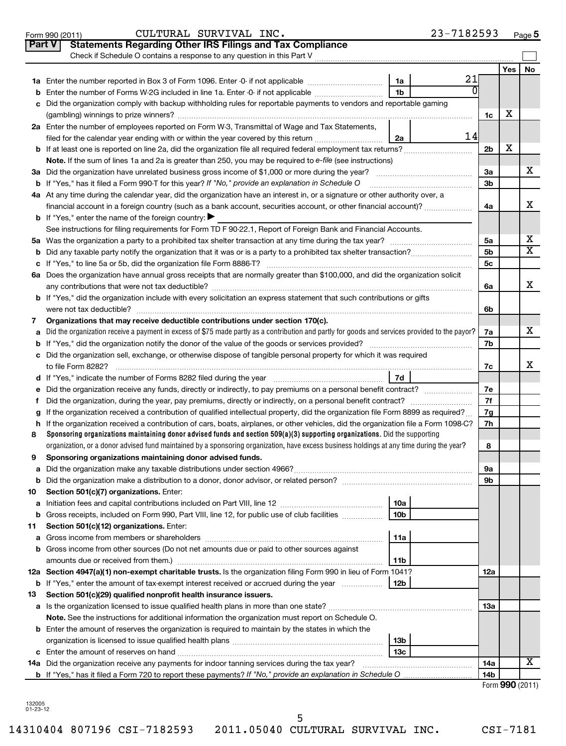|               | 23-7182593<br>CULTURAL SURVIVAL INC.<br>Form 990 (2011)                                                                                                                                                                                                                |                |            | Page 5                  |
|---------------|------------------------------------------------------------------------------------------------------------------------------------------------------------------------------------------------------------------------------------------------------------------------|----------------|------------|-------------------------|
| <b>Part V</b> | <b>Statements Regarding Other IRS Filings and Tax Compliance</b>                                                                                                                                                                                                       |                |            |                         |
|               | Check if Schedule O contains a response to any question in this Part V                                                                                                                                                                                                 |                |            |                         |
|               |                                                                                                                                                                                                                                                                        |                | <b>Yes</b> | <b>No</b>               |
|               | 21<br>1a                                                                                                                                                                                                                                                               |                |            |                         |
| b             | 1 <sub>b</sub><br>Enter the number of Forms W-2G included in line 1a. Enter -0- if not applicable                                                                                                                                                                      |                |            |                         |
| с             | Did the organization comply with backup withholding rules for reportable payments to vendors and reportable gaming                                                                                                                                                     |                |            |                         |
|               |                                                                                                                                                                                                                                                                        | 1c             | х          |                         |
|               | 2a Enter the number of employees reported on Form W-3, Transmittal of Wage and Tax Statements,                                                                                                                                                                         |                |            |                         |
|               | 14<br>filed for the calendar year ending with or within the year covered by this return<br>2a                                                                                                                                                                          |                |            |                         |
|               |                                                                                                                                                                                                                                                                        | 2 <sub>b</sub> | X          |                         |
|               | Note. If the sum of lines 1a and 2a is greater than 250, you may be required to e-file (see instructions)                                                                                                                                                              |                |            |                         |
|               |                                                                                                                                                                                                                                                                        | За             |            | х                       |
| b             | If "Yes," has it filed a Form 990-T for this year? If "No," provide an explanation in Schedule O                                                                                                                                                                       | 3b             |            |                         |
|               | 4a At any time during the calendar year, did the organization have an interest in, or a signature or other authority over, a                                                                                                                                           |                |            |                         |
|               | financial account in a foreign country (such as a bank account, securities account, or other financial account)?                                                                                                                                                       | 4a             |            | x                       |
|               | <b>b</b> If "Yes," enter the name of the foreign country: $\blacktriangleright$                                                                                                                                                                                        |                |            |                         |
|               | See instructions for filing requirements for Form TD F 90-22.1, Report of Foreign Bank and Financial Accounts.                                                                                                                                                         |                |            |                         |
|               |                                                                                                                                                                                                                                                                        | 5a             |            | х                       |
| b             |                                                                                                                                                                                                                                                                        | 5 <sub>b</sub> |            | $\overline{\textbf{x}}$ |
| с             |                                                                                                                                                                                                                                                                        | 5c             |            |                         |
|               | 6a Does the organization have annual gross receipts that are normally greater than \$100,000, and did the organization solicit                                                                                                                                         |                |            |                         |
|               |                                                                                                                                                                                                                                                                        | 6a             |            | x                       |
|               | <b>b</b> If "Yes," did the organization include with every solicitation an express statement that such contributions or gifts                                                                                                                                          |                |            |                         |
|               |                                                                                                                                                                                                                                                                        | 6b             |            |                         |
| 7             | Organizations that may receive deductible contributions under section 170(c).                                                                                                                                                                                          |                |            | х                       |
| a             | Did the organization receive a payment in excess of \$75 made partly as a contribution and partly for goods and services provided to the payor?                                                                                                                        | 7a             |            |                         |
| b             |                                                                                                                                                                                                                                                                        | 7b             |            |                         |
|               | c Did the organization sell, exchange, or otherwise dispose of tangible personal property for which it was required                                                                                                                                                    |                |            | x                       |
|               |                                                                                                                                                                                                                                                                        | 7c             |            |                         |
|               | 7d                                                                                                                                                                                                                                                                     |                |            |                         |
| е             |                                                                                                                                                                                                                                                                        | 7е             |            |                         |
| f.            |                                                                                                                                                                                                                                                                        | 7f             |            |                         |
| g             | If the organization received a contribution of qualified intellectual property, did the organization file Form 8899 as required?<br>If the organization received a contribution of cars, boats, airplanes, or other vehicles, did the organization file a Form 1098-C? | 7g<br>7h       |            |                         |
| h<br>8        | Sponsoring organizations maintaining donor advised funds and section $509(a)(3)$ supporting organizations. Did the supporting                                                                                                                                          |                |            |                         |
|               | organization, or a donor advised fund maintained by a sponsoring organization, have excess business holdings at any time during the year?                                                                                                                              | 8              |            |                         |
|               | Sponsoring organizations maintaining donor advised funds.                                                                                                                                                                                                              |                |            |                         |
| а             |                                                                                                                                                                                                                                                                        | 9а             |            |                         |
| b             |                                                                                                                                                                                                                                                                        | 9b             |            |                         |
| 10            | Section 501(c)(7) organizations. Enter:                                                                                                                                                                                                                                |                |            |                         |
| а             | 10a                                                                                                                                                                                                                                                                    |                |            |                         |
| b             | Gross receipts, included on Form 990, Part VIII, line 12, for public use of club facilities<br>10 <sub>b</sub>                                                                                                                                                         |                |            |                         |
| 11            | Section 501(c)(12) organizations. Enter:                                                                                                                                                                                                                               |                |            |                         |
| а             | 11a                                                                                                                                                                                                                                                                    |                |            |                         |
|               | b Gross income from other sources (Do not net amounts due or paid to other sources against                                                                                                                                                                             |                |            |                         |
|               | 11b                                                                                                                                                                                                                                                                    |                |            |                         |
|               | 12a Section 4947(a)(1) non-exempt charitable trusts. Is the organization filing Form 990 in lieu of Form 1041?                                                                                                                                                         | 12a            |            |                         |
| b             | If "Yes," enter the amount of tax-exempt interest received or accrued during the year<br>12b                                                                                                                                                                           |                |            |                         |
| 13            | Section 501(c)(29) qualified nonprofit health insurance issuers.                                                                                                                                                                                                       |                |            |                         |
|               | a Is the organization licensed to issue qualified health plans in more than one state?                                                                                                                                                                                 | 1За            |            |                         |
|               | Note. See the instructions for additional information the organization must report on Schedule O.                                                                                                                                                                      |                |            |                         |
|               | <b>b</b> Enter the amount of reserves the organization is required to maintain by the states in which the                                                                                                                                                              |                |            |                         |
|               | 13b                                                                                                                                                                                                                                                                    |                |            |                         |
| с             | 13 <sub>c</sub>                                                                                                                                                                                                                                                        |                |            |                         |
|               | 14a Did the organization receive any payments for indoor tanning services during the tax year?                                                                                                                                                                         | 14a            |            | х                       |
|               | <b>b</b> If "Yes," has it filed a Form 720 to report these payments? If "No," provide an explanation in Schedule O                                                                                                                                                     | 14b            |            |                         |
|               |                                                                                                                                                                                                                                                                        |                |            | Form 990 (2011)         |

132005 01-23-12

5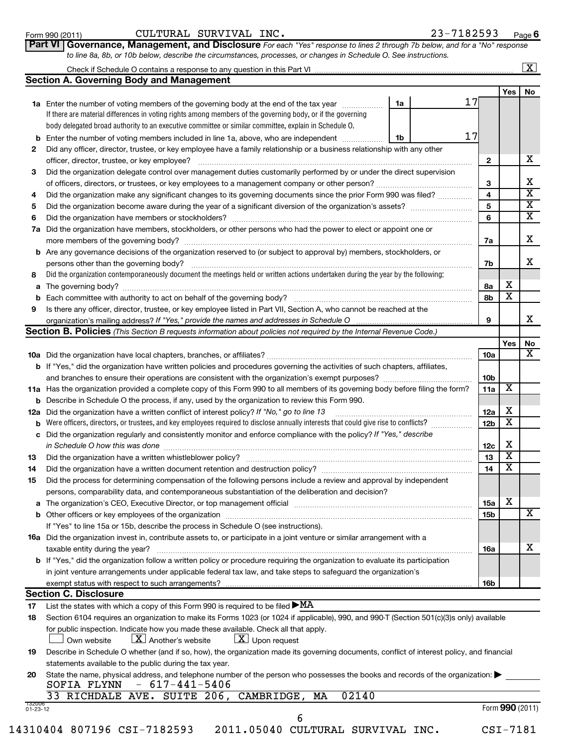| Form 990 (2011) |  |  |
|-----------------|--|--|
|-----------------|--|--|

 $\lfloor x \rfloor$ 

**Part VI** Governance, Management, and Disclosure For each "Yes" response to lines 2 through 7b below, and for a "No" response *to line 8a, 8b, or 10b below, describe the circumstances, processes, or changes in Schedule O. See instructions.*

|                                                 | Check if Schedule O contains a response to any question in this Part VI |
|-------------------------------------------------|-------------------------------------------------------------------------|
| <b>Section A. Governing Body and Management</b> |                                                                         |

|     | 00000 ACTUAL DOUT AND MONOGRAPHY                                                                                                                                              |    |    |                 |        |                         |
|-----|-------------------------------------------------------------------------------------------------------------------------------------------------------------------------------|----|----|-----------------|--------|-------------------------|
|     |                                                                                                                                                                               |    |    |                 | Yes    | No                      |
|     | <b>1a</b> Enter the number of voting members of the governing body at the end of the tax year                                                                                 | 1a | 17 |                 |        |                         |
|     | If there are material differences in voting rights among members of the governing body, or if the governing                                                                   |    |    |                 |        |                         |
|     | body delegated broad authority to an executive committee or similar committee, explain in Schedule O.                                                                         |    |    |                 |        |                         |
| b   | Enter the number of voting members included in line 1a, above, who are independent                                                                                            | 1b | 17 |                 |        |                         |
| 2   | Did any officer, director, trustee, or key employee have a family relationship or a business relationship with any other                                                      |    |    |                 |        |                         |
|     | officer, director, trustee, or key employee?                                                                                                                                  |    |    | 2               |        | х                       |
| 3   | Did the organization delegate control over management duties customarily performed by or under the direct supervision                                                         |    |    |                 |        |                         |
|     |                                                                                                                                                                               |    |    | 3               |        | х                       |
| 4   | Did the organization make any significant changes to its governing documents since the prior Form 990 was filed?                                                              |    |    | 4               |        | X                       |
| 5   |                                                                                                                                                                               |    |    | 5               |        | X                       |
| 6   | Did the organization have members or stockholders?                                                                                                                            |    |    | 6               |        | $\overline{\mathbf{x}}$ |
| 7а  | Did the organization have members, stockholders, or other persons who had the power to elect or appoint one or                                                                |    |    |                 |        |                         |
|     | more members of the governing body?                                                                                                                                           |    |    | 7a              |        | х                       |
|     | <b>b</b> Are any governance decisions of the organization reserved to (or subject to approval by) members, stockholders, or                                                   |    |    |                 |        |                         |
|     | persons other than the governing body?                                                                                                                                        |    |    | 7b              |        | х                       |
| 8   | Did the organization contemporaneously document the meetings held or written actions undertaken during the year by the following:                                             |    |    |                 |        |                         |
| a   |                                                                                                                                                                               |    |    | 8a              | х      |                         |
| b   | Each committee with authority to act on behalf of the governing body?                                                                                                         |    |    | 8b              | X      |                         |
| 9   | Is there any officer, director, trustee, or key employee listed in Part VII, Section A, who cannot be reached at the                                                          |    |    |                 |        |                         |
|     |                                                                                                                                                                               |    |    | 9               |        | x                       |
|     | Section B. Policies (This Section B requests information about policies not required by the Internal Revenue Code.)                                                           |    |    |                 |        |                         |
|     |                                                                                                                                                                               |    |    |                 | Yes    | No                      |
|     |                                                                                                                                                                               |    |    | <b>10a</b>      |        | х                       |
|     | <b>b</b> If "Yes," did the organization have written policies and procedures governing the activities of such chapters, affiliates,                                           |    |    |                 |        |                         |
|     |                                                                                                                                                                               |    |    | 10 <sub>b</sub> |        |                         |
|     | 11a Has the organization provided a complete copy of this Form 990 to all members of its governing body before filing the form?                                               |    |    | 11a             | Х      |                         |
| b   | Describe in Schedule O the process, if any, used by the organization to review this Form 990.                                                                                 |    |    | 12a             |        |                         |
| 12a | Did the organization have a written conflict of interest policy? If "No," go to line 13                                                                                       |    |    |                 | х      |                         |
| b   | Were officers, directors, or trustees, and key employees required to disclose annually interests that could give rise to conflicts?                                           |    |    | 12b             | X      |                         |
| с   | Did the organization regularly and consistently monitor and enforce compliance with the policy? If "Yes," describe                                                            |    |    |                 |        |                         |
|     | in Schedule O how this was done                                                                                                                                               |    |    | 12c             | х<br>х |                         |
| 13  | Did the organization have a written whistleblower policy?                                                                                                                     |    |    | 13              |        |                         |
| 14  | Did the organization have a written document retention and destruction policy? [11] manufaction in the organization have a written document retention and destruction policy? |    |    | 14              | х      |                         |
| 15  | Did the process for determining compensation of the following persons include a review and approval by independent                                                            |    |    |                 |        |                         |
|     | persons, comparability data, and contemporaneous substantiation of the deliberation and decision?                                                                             |    |    |                 | х      |                         |
| а   | The organization's CEO, Executive Director, or top management official                                                                                                        |    |    | 15a             |        | х                       |
|     | If "Yes" to line 15a or 15b, describe the process in Schedule O (see instructions).                                                                                           |    |    | 15b             |        |                         |
|     |                                                                                                                                                                               |    |    |                 |        |                         |
|     | <b>16a</b> Did the organization invest in, contribute assets to, or participate in a joint venture or similar arrangement with a<br>taxable entity during the year?           |    |    | 16a             |        | X                       |
|     | b If "Yes," did the organization follow a written policy or procedure requiring the organization to evaluate its participation                                                |    |    |                 |        |                         |
|     | in joint venture arrangements under applicable federal tax law, and take steps to safeguard the organization's                                                                |    |    |                 |        |                         |
|     | exempt status with respect to such arrangements?                                                                                                                              |    |    | 16b             |        |                         |
|     | <b>Section C. Disclosure</b>                                                                                                                                                  |    |    |                 |        |                         |
| 17  | List the states with which a copy of this Form 990 is required to be filed $\blacktriangleright$ MA                                                                           |    |    |                 |        |                         |
| 18  | Section 6104 requires an organization to make its Forms 1023 (or 1024 if applicable), 990, and 990-T (Section 501(c)(3)s only) available                                      |    |    |                 |        |                         |
|     | for public inspection. Indicate how you made these available. Check all that apply.                                                                                           |    |    |                 |        |                         |
|     | $\lfloor \mathbf{X} \rfloor$ Another's website<br>$ \underline{X} $ Upon request<br>Own website                                                                               |    |    |                 |        |                         |
| 19  | Describe in Schedule O whether (and if so, how), the organization made its governing documents, conflict of interest policy, and financial                                    |    |    |                 |        |                         |
|     | statements available to the public during the tax year.                                                                                                                       |    |    |                 |        |                         |
| 20  | State the name, physical address, and telephone number of the person who possesses the books and records of the organization:                                                 |    |    |                 |        |                         |

**20** State the name, physical address, and telephone number of the person who possesses the books and records of the organization:  $\blacktriangleright$ SOFIA FLYNN - 617-441-5406

6

|  |  |  |  |  | 33 RICHDALE AVE. SUITE 206, CAMBRIDGE, MA 02140 |  |  |
|--|--|--|--|--|-------------------------------------------------|--|--|
|--|--|--|--|--|-------------------------------------------------|--|--|

Form (2011) **990**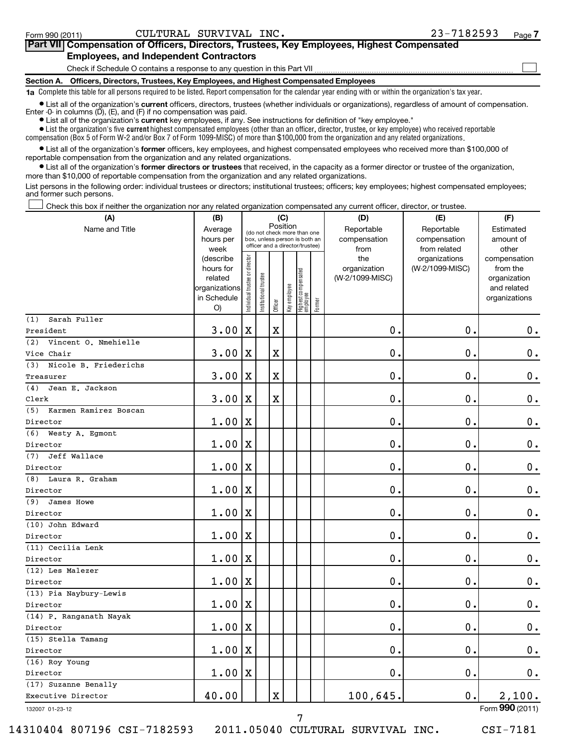| Part VII Compensation of Officers, Directors, Trustees, Key Employees, Highest Compensated                                                                                                                                           |
|--------------------------------------------------------------------------------------------------------------------------------------------------------------------------------------------------------------------------------------|
| <b>Employees, and Independent Contractors</b>                                                                                                                                                                                        |
| Check if Schedule O contains a response to any question in this Part VII                                                                                                                                                             |
| Section A. Officers, Directors, Trustees, Key Employees, and Highest Compensated Employees                                                                                                                                           |
| 1a Complete this table for all persons required to be listed. Report compensation for the calendar year ending with or within the organization's tax year.                                                                           |
| • List all of the organization's current officers, directors, trustees (whether individuals or organizations), regardless of amount of compensation.<br>Enter $-0$ in columns $(D)$ , $(E)$ , and $(F)$ if no compensation was paid. |

**•** List all of the organization's **current** key employees, if any. See instructions for definition of "key employee."

 $\bullet$  List the organization's five  $\tt current$  highest compensated employees (other than an officer, director, trustee, or key employee) who received reportable compensation (Box 5 of Form W-2 and/or Box 7 of Form 1099-MISC) of more than \$100,000 from the organization and any related organizations .

 $\bullet$  List all of the organization's former officers, key employees, and highest compensated employees who received more than \$100,000 of reportable compensation from the organization and any related organizations.

**•** List all of the organization's former directors or trustees that received, in the capacity as a former director or trustee of the organization, more than \$10,000 of reportable compensation from the organization and any related organizations.

List persons in the following order: individual trustees or directors; institutional trustees; officers; key employees; highest compensated employees; and former such persons.

Check this box if neither the organization nor any related organization compensated any current officer, director, or trustee.  $\left\vert \cdot\right\vert$ 

| Position<br>Name and Title<br>Reportable<br>Reportable<br>Average<br>Estimated<br>(do not check more than one<br>hours per<br>box, unless person is both an<br>compensation<br>compensation<br>amount of<br>officer and a director/trustee)<br>week<br>from<br>from related<br>other<br>Individual trustee or director<br>the<br>organizations<br>(describe<br>compensation<br>(W-2/1099-MISC)<br>hours for<br>organization<br>from the<br>  Highest compensated<br>  employee<br>Institutional trustee<br>(W-2/1099-MISC)<br>related<br>organization<br>Key employee<br>organizations<br>and related<br>in Schedule<br>organizations<br>Former<br>Officer<br>O)<br>Sarah Fuller<br>(1)<br>$\mathbf X$<br>$\mathbf X$<br>0.<br>0.<br>$\mathbf 0$ .<br>3.00<br>President<br>Vincent O. Nmehielle<br>(2)<br>0<br>$\mathbf 0$ .<br>$\mathbf X$<br>$\mathbf 0$ .<br>3.00<br>X<br>Vice Chair<br>(3)<br>Nicole B. Friederichs<br>$\mathbf X$<br>$\mathbf 0$<br>$\mathbf 0$ .<br>3.00<br>$\mathbf 0$<br>X<br>Treasurer<br>Jean E. Jackson<br>(4)<br>$\mathbf X$<br>0.<br>0<br>$\mathbf 0$ .<br>3.00<br>х<br>Clerk<br>(5)<br>Karmen Ramirez Boscan<br>$\mathbf 0$ .<br>$\mathbf 0$<br>$\mathbf 0$ .<br>1.00<br>X<br>Director<br>(6)<br>Westy A. Egmont<br>0.<br>$\mathbf 0$<br>$\mathbf 0$ .<br>X<br>1.00<br>Director<br>Jeff Wallace<br>(7)<br>0.<br>$\mathbf 0$<br>$\mathbf 0$ .<br>1.00<br>X<br>Director<br>(8) Laura R. Graham<br>0.<br>$\mathbf 0$<br>$\mathbf 0$ .<br>1.00<br>X<br>Director<br>(9)<br>James Howe<br>$\mathbf 0$<br>$\mathbf 0$ .<br>1.00<br>$\mathbf 0$ .<br>X<br>Director<br>(10) John Edward<br>$\mathbf 0$ .<br>$\mathbf 0$<br>$\mathbf 0$ .<br>1.00<br>X<br>Director<br>(11) Cecilia Lenk<br>$\mathbf 0$ .<br>1.00<br>$\mathbf 0$ .<br>0.<br>X<br>Director<br>(12) Les Malezer<br>$\mathbf 0$ .<br>1.00<br>0.<br>$\mathbf 0$ .<br>$\mathbf X$<br>Director<br>(13) Pia Naybury-Lewis<br>$\mathbf 0$ .<br>$\mathbf 0$ .<br>$\mathbf 0$ .<br>1.00<br>X<br>Director<br>(14) P. Ranganath Nayak<br>0.<br>$\mathbf 0$ .<br>1.00<br>$\mathbf X$<br>$\mathbf 0$ .<br>Director<br>(15) Stella Tamang<br>1.00<br>0.<br>$\mathbf 0$<br>$0$ .<br>X<br>Director<br>(16) Roy Young<br>0.<br>$\mathbf 0$ .<br>$\mathbf 0$ .<br>1.00<br>$\mathbf X$<br>Director<br>(17) Suzanne Benally<br>$\mathbf X$<br>100,645.<br>0.<br>2,100.<br>40.00<br>Executive Director | (A) | (B) |  |  |  | (C) |  | (D) | (E) | (F) |
|---------------------------------------------------------------------------------------------------------------------------------------------------------------------------------------------------------------------------------------------------------------------------------------------------------------------------------------------------------------------------------------------------------------------------------------------------------------------------------------------------------------------------------------------------------------------------------------------------------------------------------------------------------------------------------------------------------------------------------------------------------------------------------------------------------------------------------------------------------------------------------------------------------------------------------------------------------------------------------------------------------------------------------------------------------------------------------------------------------------------------------------------------------------------------------------------------------------------------------------------------------------------------------------------------------------------------------------------------------------------------------------------------------------------------------------------------------------------------------------------------------------------------------------------------------------------------------------------------------------------------------------------------------------------------------------------------------------------------------------------------------------------------------------------------------------------------------------------------------------------------------------------------------------------------------------------------------------------------------------------------------------------------------------------------------------------------------------------------------------------------------------------------------------------------------------------------------------------------------------------------------------------------------------------------------------------------------------------------------------------|-----|-----|--|--|--|-----|--|-----|-----|-----|
|                                                                                                                                                                                                                                                                                                                                                                                                                                                                                                                                                                                                                                                                                                                                                                                                                                                                                                                                                                                                                                                                                                                                                                                                                                                                                                                                                                                                                                                                                                                                                                                                                                                                                                                                                                                                                                                                                                                                                                                                                                                                                                                                                                                                                                                                                                                                                                     |     |     |  |  |  |     |  |     |     |     |
|                                                                                                                                                                                                                                                                                                                                                                                                                                                                                                                                                                                                                                                                                                                                                                                                                                                                                                                                                                                                                                                                                                                                                                                                                                                                                                                                                                                                                                                                                                                                                                                                                                                                                                                                                                                                                                                                                                                                                                                                                                                                                                                                                                                                                                                                                                                                                                     |     |     |  |  |  |     |  |     |     |     |
|                                                                                                                                                                                                                                                                                                                                                                                                                                                                                                                                                                                                                                                                                                                                                                                                                                                                                                                                                                                                                                                                                                                                                                                                                                                                                                                                                                                                                                                                                                                                                                                                                                                                                                                                                                                                                                                                                                                                                                                                                                                                                                                                                                                                                                                                                                                                                                     |     |     |  |  |  |     |  |     |     |     |
|                                                                                                                                                                                                                                                                                                                                                                                                                                                                                                                                                                                                                                                                                                                                                                                                                                                                                                                                                                                                                                                                                                                                                                                                                                                                                                                                                                                                                                                                                                                                                                                                                                                                                                                                                                                                                                                                                                                                                                                                                                                                                                                                                                                                                                                                                                                                                                     |     |     |  |  |  |     |  |     |     |     |
|                                                                                                                                                                                                                                                                                                                                                                                                                                                                                                                                                                                                                                                                                                                                                                                                                                                                                                                                                                                                                                                                                                                                                                                                                                                                                                                                                                                                                                                                                                                                                                                                                                                                                                                                                                                                                                                                                                                                                                                                                                                                                                                                                                                                                                                                                                                                                                     |     |     |  |  |  |     |  |     |     |     |
|                                                                                                                                                                                                                                                                                                                                                                                                                                                                                                                                                                                                                                                                                                                                                                                                                                                                                                                                                                                                                                                                                                                                                                                                                                                                                                                                                                                                                                                                                                                                                                                                                                                                                                                                                                                                                                                                                                                                                                                                                                                                                                                                                                                                                                                                                                                                                                     |     |     |  |  |  |     |  |     |     |     |
|                                                                                                                                                                                                                                                                                                                                                                                                                                                                                                                                                                                                                                                                                                                                                                                                                                                                                                                                                                                                                                                                                                                                                                                                                                                                                                                                                                                                                                                                                                                                                                                                                                                                                                                                                                                                                                                                                                                                                                                                                                                                                                                                                                                                                                                                                                                                                                     |     |     |  |  |  |     |  |     |     |     |
|                                                                                                                                                                                                                                                                                                                                                                                                                                                                                                                                                                                                                                                                                                                                                                                                                                                                                                                                                                                                                                                                                                                                                                                                                                                                                                                                                                                                                                                                                                                                                                                                                                                                                                                                                                                                                                                                                                                                                                                                                                                                                                                                                                                                                                                                                                                                                                     |     |     |  |  |  |     |  |     |     |     |
|                                                                                                                                                                                                                                                                                                                                                                                                                                                                                                                                                                                                                                                                                                                                                                                                                                                                                                                                                                                                                                                                                                                                                                                                                                                                                                                                                                                                                                                                                                                                                                                                                                                                                                                                                                                                                                                                                                                                                                                                                                                                                                                                                                                                                                                                                                                                                                     |     |     |  |  |  |     |  |     |     |     |
|                                                                                                                                                                                                                                                                                                                                                                                                                                                                                                                                                                                                                                                                                                                                                                                                                                                                                                                                                                                                                                                                                                                                                                                                                                                                                                                                                                                                                                                                                                                                                                                                                                                                                                                                                                                                                                                                                                                                                                                                                                                                                                                                                                                                                                                                                                                                                                     |     |     |  |  |  |     |  |     |     |     |
|                                                                                                                                                                                                                                                                                                                                                                                                                                                                                                                                                                                                                                                                                                                                                                                                                                                                                                                                                                                                                                                                                                                                                                                                                                                                                                                                                                                                                                                                                                                                                                                                                                                                                                                                                                                                                                                                                                                                                                                                                                                                                                                                                                                                                                                                                                                                                                     |     |     |  |  |  |     |  |     |     |     |
|                                                                                                                                                                                                                                                                                                                                                                                                                                                                                                                                                                                                                                                                                                                                                                                                                                                                                                                                                                                                                                                                                                                                                                                                                                                                                                                                                                                                                                                                                                                                                                                                                                                                                                                                                                                                                                                                                                                                                                                                                                                                                                                                                                                                                                                                                                                                                                     |     |     |  |  |  |     |  |     |     |     |
|                                                                                                                                                                                                                                                                                                                                                                                                                                                                                                                                                                                                                                                                                                                                                                                                                                                                                                                                                                                                                                                                                                                                                                                                                                                                                                                                                                                                                                                                                                                                                                                                                                                                                                                                                                                                                                                                                                                                                                                                                                                                                                                                                                                                                                                                                                                                                                     |     |     |  |  |  |     |  |     |     |     |
|                                                                                                                                                                                                                                                                                                                                                                                                                                                                                                                                                                                                                                                                                                                                                                                                                                                                                                                                                                                                                                                                                                                                                                                                                                                                                                                                                                                                                                                                                                                                                                                                                                                                                                                                                                                                                                                                                                                                                                                                                                                                                                                                                                                                                                                                                                                                                                     |     |     |  |  |  |     |  |     |     |     |
|                                                                                                                                                                                                                                                                                                                                                                                                                                                                                                                                                                                                                                                                                                                                                                                                                                                                                                                                                                                                                                                                                                                                                                                                                                                                                                                                                                                                                                                                                                                                                                                                                                                                                                                                                                                                                                                                                                                                                                                                                                                                                                                                                                                                                                                                                                                                                                     |     |     |  |  |  |     |  |     |     |     |
|                                                                                                                                                                                                                                                                                                                                                                                                                                                                                                                                                                                                                                                                                                                                                                                                                                                                                                                                                                                                                                                                                                                                                                                                                                                                                                                                                                                                                                                                                                                                                                                                                                                                                                                                                                                                                                                                                                                                                                                                                                                                                                                                                                                                                                                                                                                                                                     |     |     |  |  |  |     |  |     |     |     |
|                                                                                                                                                                                                                                                                                                                                                                                                                                                                                                                                                                                                                                                                                                                                                                                                                                                                                                                                                                                                                                                                                                                                                                                                                                                                                                                                                                                                                                                                                                                                                                                                                                                                                                                                                                                                                                                                                                                                                                                                                                                                                                                                                                                                                                                                                                                                                                     |     |     |  |  |  |     |  |     |     |     |
|                                                                                                                                                                                                                                                                                                                                                                                                                                                                                                                                                                                                                                                                                                                                                                                                                                                                                                                                                                                                                                                                                                                                                                                                                                                                                                                                                                                                                                                                                                                                                                                                                                                                                                                                                                                                                                                                                                                                                                                                                                                                                                                                                                                                                                                                                                                                                                     |     |     |  |  |  |     |  |     |     |     |
|                                                                                                                                                                                                                                                                                                                                                                                                                                                                                                                                                                                                                                                                                                                                                                                                                                                                                                                                                                                                                                                                                                                                                                                                                                                                                                                                                                                                                                                                                                                                                                                                                                                                                                                                                                                                                                                                                                                                                                                                                                                                                                                                                                                                                                                                                                                                                                     |     |     |  |  |  |     |  |     |     |     |
|                                                                                                                                                                                                                                                                                                                                                                                                                                                                                                                                                                                                                                                                                                                                                                                                                                                                                                                                                                                                                                                                                                                                                                                                                                                                                                                                                                                                                                                                                                                                                                                                                                                                                                                                                                                                                                                                                                                                                                                                                                                                                                                                                                                                                                                                                                                                                                     |     |     |  |  |  |     |  |     |     |     |
|                                                                                                                                                                                                                                                                                                                                                                                                                                                                                                                                                                                                                                                                                                                                                                                                                                                                                                                                                                                                                                                                                                                                                                                                                                                                                                                                                                                                                                                                                                                                                                                                                                                                                                                                                                                                                                                                                                                                                                                                                                                                                                                                                                                                                                                                                                                                                                     |     |     |  |  |  |     |  |     |     |     |
|                                                                                                                                                                                                                                                                                                                                                                                                                                                                                                                                                                                                                                                                                                                                                                                                                                                                                                                                                                                                                                                                                                                                                                                                                                                                                                                                                                                                                                                                                                                                                                                                                                                                                                                                                                                                                                                                                                                                                                                                                                                                                                                                                                                                                                                                                                                                                                     |     |     |  |  |  |     |  |     |     |     |
|                                                                                                                                                                                                                                                                                                                                                                                                                                                                                                                                                                                                                                                                                                                                                                                                                                                                                                                                                                                                                                                                                                                                                                                                                                                                                                                                                                                                                                                                                                                                                                                                                                                                                                                                                                                                                                                                                                                                                                                                                                                                                                                                                                                                                                                                                                                                                                     |     |     |  |  |  |     |  |     |     |     |
|                                                                                                                                                                                                                                                                                                                                                                                                                                                                                                                                                                                                                                                                                                                                                                                                                                                                                                                                                                                                                                                                                                                                                                                                                                                                                                                                                                                                                                                                                                                                                                                                                                                                                                                                                                                                                                                                                                                                                                                                                                                                                                                                                                                                                                                                                                                                                                     |     |     |  |  |  |     |  |     |     |     |
|                                                                                                                                                                                                                                                                                                                                                                                                                                                                                                                                                                                                                                                                                                                                                                                                                                                                                                                                                                                                                                                                                                                                                                                                                                                                                                                                                                                                                                                                                                                                                                                                                                                                                                                                                                                                                                                                                                                                                                                                                                                                                                                                                                                                                                                                                                                                                                     |     |     |  |  |  |     |  |     |     |     |
|                                                                                                                                                                                                                                                                                                                                                                                                                                                                                                                                                                                                                                                                                                                                                                                                                                                                                                                                                                                                                                                                                                                                                                                                                                                                                                                                                                                                                                                                                                                                                                                                                                                                                                                                                                                                                                                                                                                                                                                                                                                                                                                                                                                                                                                                                                                                                                     |     |     |  |  |  |     |  |     |     |     |
|                                                                                                                                                                                                                                                                                                                                                                                                                                                                                                                                                                                                                                                                                                                                                                                                                                                                                                                                                                                                                                                                                                                                                                                                                                                                                                                                                                                                                                                                                                                                                                                                                                                                                                                                                                                                                                                                                                                                                                                                                                                                                                                                                                                                                                                                                                                                                                     |     |     |  |  |  |     |  |     |     |     |
|                                                                                                                                                                                                                                                                                                                                                                                                                                                                                                                                                                                                                                                                                                                                                                                                                                                                                                                                                                                                                                                                                                                                                                                                                                                                                                                                                                                                                                                                                                                                                                                                                                                                                                                                                                                                                                                                                                                                                                                                                                                                                                                                                                                                                                                                                                                                                                     |     |     |  |  |  |     |  |     |     |     |
|                                                                                                                                                                                                                                                                                                                                                                                                                                                                                                                                                                                                                                                                                                                                                                                                                                                                                                                                                                                                                                                                                                                                                                                                                                                                                                                                                                                                                                                                                                                                                                                                                                                                                                                                                                                                                                                                                                                                                                                                                                                                                                                                                                                                                                                                                                                                                                     |     |     |  |  |  |     |  |     |     |     |
|                                                                                                                                                                                                                                                                                                                                                                                                                                                                                                                                                                                                                                                                                                                                                                                                                                                                                                                                                                                                                                                                                                                                                                                                                                                                                                                                                                                                                                                                                                                                                                                                                                                                                                                                                                                                                                                                                                                                                                                                                                                                                                                                                                                                                                                                                                                                                                     |     |     |  |  |  |     |  |     |     |     |
|                                                                                                                                                                                                                                                                                                                                                                                                                                                                                                                                                                                                                                                                                                                                                                                                                                                                                                                                                                                                                                                                                                                                                                                                                                                                                                                                                                                                                                                                                                                                                                                                                                                                                                                                                                                                                                                                                                                                                                                                                                                                                                                                                                                                                                                                                                                                                                     |     |     |  |  |  |     |  |     |     |     |
|                                                                                                                                                                                                                                                                                                                                                                                                                                                                                                                                                                                                                                                                                                                                                                                                                                                                                                                                                                                                                                                                                                                                                                                                                                                                                                                                                                                                                                                                                                                                                                                                                                                                                                                                                                                                                                                                                                                                                                                                                                                                                                                                                                                                                                                                                                                                                                     |     |     |  |  |  |     |  |     |     |     |
|                                                                                                                                                                                                                                                                                                                                                                                                                                                                                                                                                                                                                                                                                                                                                                                                                                                                                                                                                                                                                                                                                                                                                                                                                                                                                                                                                                                                                                                                                                                                                                                                                                                                                                                                                                                                                                                                                                                                                                                                                                                                                                                                                                                                                                                                                                                                                                     |     |     |  |  |  |     |  |     |     |     |
|                                                                                                                                                                                                                                                                                                                                                                                                                                                                                                                                                                                                                                                                                                                                                                                                                                                                                                                                                                                                                                                                                                                                                                                                                                                                                                                                                                                                                                                                                                                                                                                                                                                                                                                                                                                                                                                                                                                                                                                                                                                                                                                                                                                                                                                                                                                                                                     |     |     |  |  |  |     |  |     |     |     |
|                                                                                                                                                                                                                                                                                                                                                                                                                                                                                                                                                                                                                                                                                                                                                                                                                                                                                                                                                                                                                                                                                                                                                                                                                                                                                                                                                                                                                                                                                                                                                                                                                                                                                                                                                                                                                                                                                                                                                                                                                                                                                                                                                                                                                                                                                                                                                                     |     |     |  |  |  |     |  |     |     |     |
|                                                                                                                                                                                                                                                                                                                                                                                                                                                                                                                                                                                                                                                                                                                                                                                                                                                                                                                                                                                                                                                                                                                                                                                                                                                                                                                                                                                                                                                                                                                                                                                                                                                                                                                                                                                                                                                                                                                                                                                                                                                                                                                                                                                                                                                                                                                                                                     |     |     |  |  |  |     |  |     |     |     |

132007 01-23-12

7

Form (2011) **990**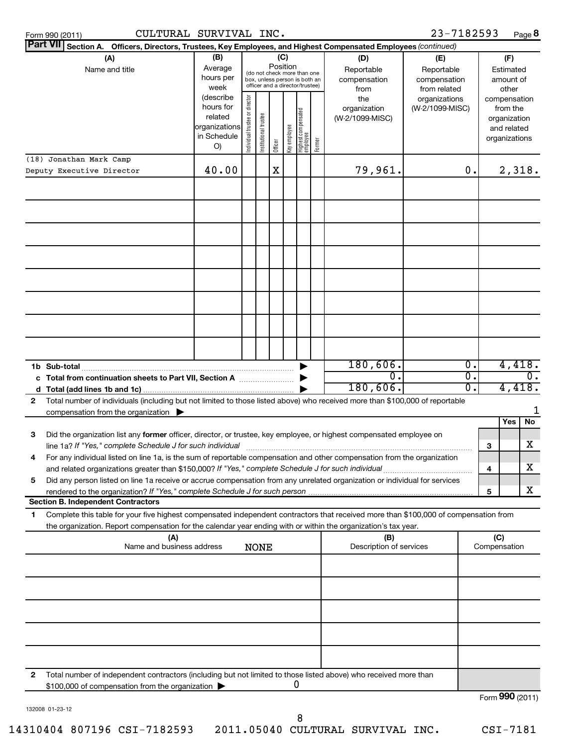| Form 990 (2011) |
|-----------------|
|-----------------|

Form 990 (2011) Page CULTURAL SURVIVAL INC. 23-7182593

23-7182593 Page 8

| Part VII Section A. Officers, Directors, Trustees, Key Employees, and Highest Compensated Employees (continued) |                                                                                                                                                                                                                                                        |                        |                                         |                       |         |              |                                   |            |                                 |                 |                  |                          |                  |
|-----------------------------------------------------------------------------------------------------------------|--------------------------------------------------------------------------------------------------------------------------------------------------------------------------------------------------------------------------------------------------------|------------------------|-----------------------------------------|-----------------------|---------|--------------|-----------------------------------|------------|---------------------------------|-----------------|------------------|--------------------------|------------------|
| (B)<br>(C)<br>(A)<br>(D)<br>(E)                                                                                 |                                                                                                                                                                                                                                                        |                        |                                         |                       |         |              |                                   |            |                                 | (F)             |                  |                          |                  |
|                                                                                                                 | Name and title                                                                                                                                                                                                                                         | Average                | Position<br>(do not check more than one |                       |         |              | Reportable                        | Reportable |                                 | Estimated       |                  |                          |                  |
|                                                                                                                 |                                                                                                                                                                                                                                                        | hours per              |                                         |                       |         |              | box, unless person is both an     |            | compensation                    | compensation    |                  | amount of                |                  |
|                                                                                                                 |                                                                                                                                                                                                                                                        | week                   |                                         |                       |         |              | officer and a director/trustee)   |            | from                            | from related    |                  | other                    |                  |
|                                                                                                                 |                                                                                                                                                                                                                                                        | (describe<br>hours for |                                         |                       |         |              |                                   |            | the                             | organizations   |                  | compensation             |                  |
|                                                                                                                 |                                                                                                                                                                                                                                                        | related                |                                         |                       |         |              |                                   |            | organization<br>(W-2/1099-MISC) | (W-2/1099-MISC) |                  | from the<br>organization |                  |
|                                                                                                                 |                                                                                                                                                                                                                                                        | organizations          |                                         |                       |         |              |                                   |            |                                 |                 |                  | and related              |                  |
|                                                                                                                 |                                                                                                                                                                                                                                                        | in Schedule            | Individual trustee or director          | Institutional trustee |         | Key employee |                                   |            |                                 |                 |                  | organizations            |                  |
|                                                                                                                 |                                                                                                                                                                                                                                                        | O)                     |                                         |                       | Officer |              | Highest compensated<br>  employee | Former     |                                 |                 |                  |                          |                  |
|                                                                                                                 | (18) Jonathan Mark Camp                                                                                                                                                                                                                                |                        |                                         |                       |         |              |                                   |            |                                 |                 |                  |                          |                  |
|                                                                                                                 | Deputy Executive Director                                                                                                                                                                                                                              | 40.00                  |                                         |                       | X       |              |                                   |            | 79,961.                         |                 | 0.               |                          | 2,318.           |
|                                                                                                                 |                                                                                                                                                                                                                                                        |                        |                                         |                       |         |              |                                   |            |                                 |                 |                  |                          |                  |
|                                                                                                                 |                                                                                                                                                                                                                                                        |                        |                                         |                       |         |              |                                   |            |                                 |                 |                  |                          |                  |
|                                                                                                                 |                                                                                                                                                                                                                                                        |                        |                                         |                       |         |              |                                   |            |                                 |                 |                  |                          |                  |
|                                                                                                                 |                                                                                                                                                                                                                                                        |                        |                                         |                       |         |              |                                   |            |                                 |                 |                  |                          |                  |
|                                                                                                                 |                                                                                                                                                                                                                                                        |                        |                                         |                       |         |              |                                   |            |                                 |                 |                  |                          |                  |
|                                                                                                                 |                                                                                                                                                                                                                                                        |                        |                                         |                       |         |              |                                   |            |                                 |                 |                  |                          |                  |
|                                                                                                                 |                                                                                                                                                                                                                                                        |                        |                                         |                       |         |              |                                   |            |                                 |                 |                  |                          |                  |
|                                                                                                                 |                                                                                                                                                                                                                                                        |                        |                                         |                       |         |              |                                   |            |                                 |                 |                  |                          |                  |
|                                                                                                                 |                                                                                                                                                                                                                                                        |                        |                                         |                       |         |              |                                   |            |                                 |                 |                  |                          |                  |
|                                                                                                                 |                                                                                                                                                                                                                                                        |                        |                                         |                       |         |              |                                   |            |                                 |                 |                  |                          |                  |
|                                                                                                                 |                                                                                                                                                                                                                                                        |                        |                                         |                       |         |              |                                   |            |                                 |                 |                  |                          |                  |
|                                                                                                                 |                                                                                                                                                                                                                                                        |                        |                                         |                       |         |              |                                   |            |                                 |                 |                  |                          |                  |
|                                                                                                                 |                                                                                                                                                                                                                                                        |                        |                                         |                       |         |              |                                   |            |                                 |                 |                  |                          |                  |
|                                                                                                                 |                                                                                                                                                                                                                                                        |                        |                                         |                       |         |              |                                   |            |                                 |                 |                  |                          |                  |
|                                                                                                                 |                                                                                                                                                                                                                                                        |                        |                                         |                       |         |              |                                   |            |                                 |                 |                  |                          |                  |
| 1b Sub-total                                                                                                    |                                                                                                                                                                                                                                                        |                        |                                         |                       |         |              |                                   |            | 180,606.                        |                 | $\overline{0}$ . |                          | 4,418.           |
|                                                                                                                 | c Total from continuation sheets to Part VII, Section A                                                                                                                                                                                                |                        |                                         |                       |         |              |                                   |            | О.                              |                 | σ.               |                          | $\overline{0}$ . |
| d                                                                                                               |                                                                                                                                                                                                                                                        |                        |                                         |                       |         |              |                                   |            | 180,606.                        |                 | 0.               |                          | 4,418.           |
| 2                                                                                                               | Total number of individuals (including but not limited to those listed above) who received more than \$100,000 of reportable                                                                                                                           |                        |                                         |                       |         |              |                                   |            |                                 |                 |                  |                          |                  |
|                                                                                                                 | compensation from the organization $\blacktriangleright$                                                                                                                                                                                               |                        |                                         |                       |         |              |                                   |            |                                 |                 |                  |                          | 1                |
|                                                                                                                 |                                                                                                                                                                                                                                                        |                        |                                         |                       |         |              |                                   |            |                                 |                 |                  | Yes                      | No               |
| 3                                                                                                               | Did the organization list any former officer, director, or trustee, key employee, or highest compensated employee on                                                                                                                                   |                        |                                         |                       |         |              |                                   |            |                                 |                 |                  |                          |                  |
|                                                                                                                 | line 1a? If "Yes," complete Schedule J for such individual                                                                                                                                                                                             |                        |                                         |                       |         |              |                                   |            |                                 |                 |                  | 3                        | x.               |
| 4                                                                                                               | For any individual listed on line 1a, is the sum of reportable compensation and other compensation from the organization                                                                                                                               |                        |                                         |                       |         |              |                                   |            |                                 |                 |                  |                          |                  |
|                                                                                                                 | and related organizations greater than \$150,000? If "Yes," complete Schedule J for such individual                                                                                                                                                    |                        |                                         |                       |         |              |                                   |            |                                 |                 |                  | 4                        | X                |
| 5                                                                                                               | Did any person listed on line 1a receive or accrue compensation from any unrelated organization or individual for services                                                                                                                             |                        |                                         |                       |         |              |                                   |            |                                 |                 |                  |                          |                  |
|                                                                                                                 | rendered to the organization? If "Yes," complete Schedule J for such person<br><b>Section B. Independent Contractors</b>                                                                                                                               |                        |                                         |                       |         |              |                                   |            |                                 |                 |                  | 5                        | X.               |
|                                                                                                                 |                                                                                                                                                                                                                                                        |                        |                                         |                       |         |              |                                   |            |                                 |                 |                  |                          |                  |
| 1.                                                                                                              | Complete this table for your five highest compensated independent contractors that received more than \$100,000 of compensation from<br>the organization. Report compensation for the calendar year ending with or within the organization's tax year. |                        |                                         |                       |         |              |                                   |            |                                 |                 |                  |                          |                  |
|                                                                                                                 | (A)                                                                                                                                                                                                                                                    |                        |                                         |                       |         |              |                                   |            | (B)                             |                 |                  | (C)                      |                  |
|                                                                                                                 | Name and business address                                                                                                                                                                                                                              |                        |                                         | <b>NONE</b>           |         |              |                                   |            | Description of services         |                 |                  | Compensation             |                  |
|                                                                                                                 |                                                                                                                                                                                                                                                        |                        |                                         |                       |         |              |                                   |            |                                 |                 |                  |                          |                  |
|                                                                                                                 |                                                                                                                                                                                                                                                        |                        |                                         |                       |         |              |                                   |            |                                 |                 |                  |                          |                  |
|                                                                                                                 |                                                                                                                                                                                                                                                        |                        |                                         |                       |         |              |                                   |            |                                 |                 |                  |                          |                  |
|                                                                                                                 |                                                                                                                                                                                                                                                        |                        |                                         |                       |         |              |                                   |            |                                 |                 |                  |                          |                  |
|                                                                                                                 |                                                                                                                                                                                                                                                        |                        |                                         |                       |         |              |                                   |            |                                 |                 |                  |                          |                  |
|                                                                                                                 |                                                                                                                                                                                                                                                        |                        |                                         |                       |         |              |                                   |            |                                 |                 |                  |                          |                  |
|                                                                                                                 |                                                                                                                                                                                                                                                        |                        |                                         |                       |         |              |                                   |            |                                 |                 |                  |                          |                  |
|                                                                                                                 |                                                                                                                                                                                                                                                        |                        |                                         |                       |         |              |                                   |            |                                 |                 |                  |                          |                  |
|                                                                                                                 |                                                                                                                                                                                                                                                        |                        |                                         |                       |         |              |                                   |            |                                 |                 |                  |                          |                  |
|                                                                                                                 |                                                                                                                                                                                                                                                        |                        |                                         |                       |         |              |                                   |            |                                 |                 |                  |                          |                  |
| 2                                                                                                               | Total number of independent contractors (including but not limited to those listed above) who received more than                                                                                                                                       |                        |                                         |                       |         |              |                                   |            |                                 |                 |                  |                          |                  |
|                                                                                                                 | \$100,000 of compensation from the organization                                                                                                                                                                                                        |                        |                                         |                       |         |              | 0                                 |            |                                 |                 |                  |                          |                  |
|                                                                                                                 |                                                                                                                                                                                                                                                        |                        |                                         |                       |         |              |                                   |            |                                 |                 |                  | Form 990 (2011)          |                  |
| 132008 01-23-12                                                                                                 |                                                                                                                                                                                                                                                        |                        |                                         |                       |         |              |                                   |            |                                 |                 |                  |                          |                  |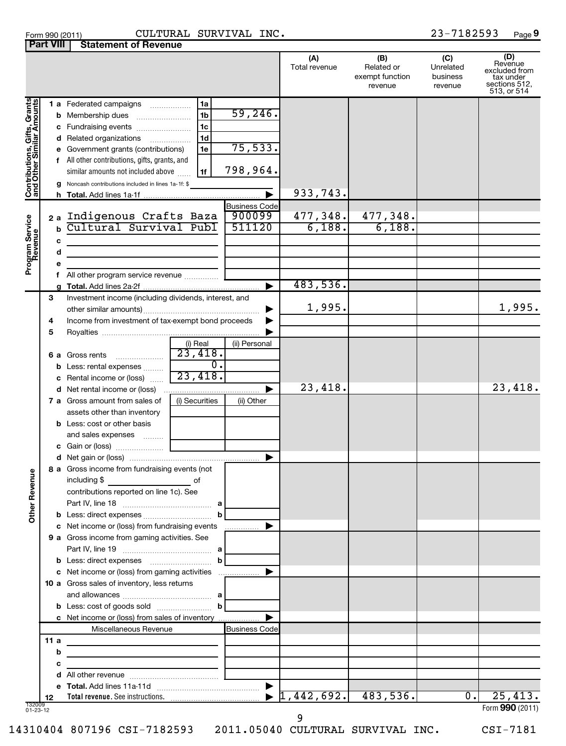| Form 990 (2011) | CULTURA                               |  |
|-----------------|---------------------------------------|--|
|                 | <b>Part VIII Statement of Revenue</b> |  |

# Form 990 (2011) Page CULTURAL SURVIVAL INC. 23-7182593

23-7182593 Page 9

|                                                           |               |                                                                                                                                                                                                                                                                                                                        |                                          | (A)<br>Total revenue  | (B)<br>Related or<br>exempt function<br>revenue | (C)<br>Unrelated<br>business<br>revenue | (D)<br>Revenue<br>excluded from<br>tax under<br>sections 512,<br>513, or 514 |
|-----------------------------------------------------------|---------------|------------------------------------------------------------------------------------------------------------------------------------------------------------------------------------------------------------------------------------------------------------------------------------------------------------------------|------------------------------------------|-----------------------|-------------------------------------------------|-----------------------------------------|------------------------------------------------------------------------------|
| Contributions, Gifts, Grants<br>and Other Similar Amounts |               | 1a<br><b>1 a</b> Federated campaigns<br>1 <sub>b</sub><br><b>b</b> Membership dues<br>1c<br><b>c</b> Fundraising events <i></i><br>1 <sub>d</sub><br>d Related organizations<br>1e<br>e Government grants (contributions)<br>f All other contributions, gifts, grants, and<br>similar amounts not included above<br>1f | 59,246.<br>75,533.<br>798,964.           |                       |                                                 |                                         |                                                                              |
|                                                           |               | g Noncash contributions included in lines 1a-1f: \$                                                                                                                                                                                                                                                                    |                                          | 933,743.              |                                                 |                                         |                                                                              |
| Program Service<br>Revenue                                | c             | 2a Indigenous Crafts Baza<br>b Cultural Survival Publ<br>the control of the control of the control of the control of the control of                                                                                                                                                                                    | <b>Business Code</b><br>900099<br>511120 | 477,348.<br>6,188.    | 477,348.<br>6,188.                              |                                         |                                                                              |
|                                                           | d             | the control of the control of the control of the control of the control of<br>f All other program service revenue                                                                                                                                                                                                      |                                          | 483,536.              |                                                 |                                         |                                                                              |
|                                                           | 3             | Investment income (including dividends, interest, and                                                                                                                                                                                                                                                                  |                                          |                       |                                                 |                                         |                                                                              |
|                                                           | 4<br>5        | Income from investment of tax-exempt bond proceeds                                                                                                                                                                                                                                                                     | ▶                                        | 1,995.                |                                                 |                                         | 1,995.                                                                       |
| Ф<br>Other Revenu                                         |               | (i) Real<br>23,418.<br>$\ldots \ldots \ldots \ldots \ldots$<br>6 a Gross rents<br><b>b</b> Less: rental expenses <i></i><br>23,418.<br>c Rental income or (loss)                                                                                                                                                       | (ii) Personal<br>0.                      |                       |                                                 |                                         |                                                                              |
|                                                           |               | d Net rental income or (loss)                                                                                                                                                                                                                                                                                          |                                          | 23,418.               |                                                 |                                         | 23,418.                                                                      |
|                                                           |               | (i) Securities<br><b>7 a</b> Gross amount from sales of<br>assets other than inventory                                                                                                                                                                                                                                 | (ii) Other                               |                       |                                                 |                                         |                                                                              |
|                                                           |               | <b>b</b> Less: cost or other basis<br>and sales expenses<br>8 a Gross income from fundraising events (not                                                                                                                                                                                                              |                                          |                       |                                                 |                                         |                                                                              |
|                                                           |               | including \$<br>of<br>contributions reported on line 1c). See                                                                                                                                                                                                                                                          |                                          |                       |                                                 |                                         |                                                                              |
|                                                           |               | c Net income or (loss) from fundraising events                                                                                                                                                                                                                                                                         |                                          |                       |                                                 |                                         |                                                                              |
|                                                           |               | 9 a Gross income from gaming activities. See<br><b>b</b> Less: direct expenses <b>contained</b> b                                                                                                                                                                                                                      |                                          |                       |                                                 |                                         |                                                                              |
|                                                           |               | c Net income or (loss) from gaming activities<br>10 a Gross sales of inventory, less returns                                                                                                                                                                                                                           |                                          |                       |                                                 |                                         |                                                                              |
|                                                           |               | c Net income or (loss) from sales of inventory<br>Miscellaneous Revenue                                                                                                                                                                                                                                                | <b>Business Code</b>                     |                       |                                                 |                                         |                                                                              |
|                                                           | 11a<br>b<br>с | the control of the control of the control of the control of the control of<br>the control of the control of the control of the control of the control of<br>the control of the control of the control of                                                                                                               |                                          |                       |                                                 |                                         |                                                                              |
|                                                           |               |                                                                                                                                                                                                                                                                                                                        |                                          |                       |                                                 |                                         |                                                                              |
|                                                           | 12            |                                                                                                                                                                                                                                                                                                                        |                                          | $1,442,692.$ 483,536. |                                                 | $\overline{0}$ .                        | 25,413.                                                                      |
| 132009<br>01-23-12                                        |               |                                                                                                                                                                                                                                                                                                                        |                                          | q                     |                                                 |                                         | Form 990 (2011)                                                              |

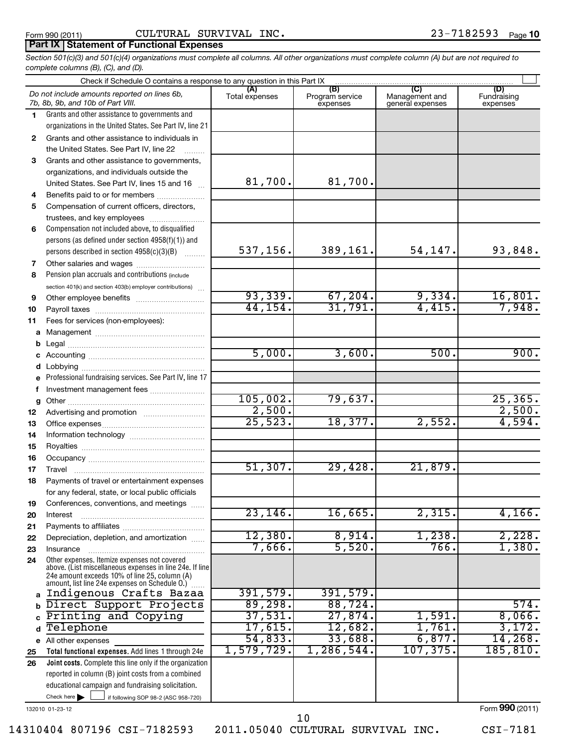## **Part IX Statement of Functional Expenses**

*Section 501(c)(3) and 501(c)(4) organizations must complete all columns. All other organizations must complete column (A) but are not required to complete columns (B), (C), and (D).*

|          | Check if Schedule O contains a response to any question in this Part IX                                                                                     |                       |                                    |                                           |                                |
|----------|-------------------------------------------------------------------------------------------------------------------------------------------------------------|-----------------------|------------------------------------|-------------------------------------------|--------------------------------|
|          | Do not include amounts reported on lines 6b,<br>7b, 8b, 9b, and 10b of Part VIII.                                                                           | (A)<br>Total expenses | (B)<br>Program service<br>expenses | (C)<br>Management and<br>general expenses | (D)<br>Fundraising<br>expenses |
| 1.       | Grants and other assistance to governments and                                                                                                              |                       |                                    |                                           |                                |
|          | organizations in the United States. See Part IV, line 21                                                                                                    |                       |                                    |                                           |                                |
| 2        | Grants and other assistance to individuals in                                                                                                               |                       |                                    |                                           |                                |
|          | the United States. See Part IV, line 22                                                                                                                     |                       |                                    |                                           |                                |
| 3        | Grants and other assistance to governments,                                                                                                                 |                       |                                    |                                           |                                |
|          | organizations, and individuals outside the                                                                                                                  |                       |                                    |                                           |                                |
|          | United States. See Part IV, lines 15 and 16                                                                                                                 | 81,700.               | 81,700.                            |                                           |                                |
| 4        | Benefits paid to or for members                                                                                                                             |                       |                                    |                                           |                                |
| 5        | Compensation of current officers, directors,                                                                                                                |                       |                                    |                                           |                                |
| 6        | trustees, and key employees<br>Compensation not included above, to disqualified                                                                             |                       |                                    |                                           |                                |
|          | persons (as defined under section 4958(f)(1)) and                                                                                                           |                       |                                    |                                           |                                |
|          | persons described in section 4958(c)(3)(B)                                                                                                                  | 537,156.              | 389,161.                           | 54,147.                                   | 93,848.                        |
| 7        | Other salaries and wages                                                                                                                                    |                       |                                    |                                           |                                |
| 8        | Pension plan accruals and contributions (include                                                                                                            |                       |                                    |                                           |                                |
|          | section 401(k) and section 403(b) employer contributions)                                                                                                   |                       |                                    |                                           |                                |
| 9        |                                                                                                                                                             | 93, 339.              | 67, 204.                           | 9,334.                                    | <u>16,801.</u>                 |
| 10       |                                                                                                                                                             | 44, 154.              | 31,791.                            | 4,415.                                    | 7,948.                         |
| 11       | Fees for services (non-employees):                                                                                                                          |                       |                                    |                                           |                                |
| a        |                                                                                                                                                             |                       |                                    |                                           |                                |
| b        |                                                                                                                                                             |                       |                                    |                                           |                                |
| c        |                                                                                                                                                             | 5,000.                | 3,600.                             | 500.                                      | 900.                           |
| d        |                                                                                                                                                             |                       |                                    |                                           |                                |
|          | Professional fundraising services. See Part IV, line 17                                                                                                     |                       |                                    |                                           |                                |
| f        | Investment management fees                                                                                                                                  | 105,002.              | 79,637.                            |                                           | 25, 365.                       |
| g        |                                                                                                                                                             | 2,500.                |                                    |                                           | 2,500.                         |
| 12       |                                                                                                                                                             | 25,523.               | 18,377.                            | 2,552.                                    | 4,594.                         |
| 13<br>14 |                                                                                                                                                             |                       |                                    |                                           |                                |
| 15       |                                                                                                                                                             |                       |                                    |                                           |                                |
| 16       |                                                                                                                                                             |                       |                                    |                                           |                                |
| 17       |                                                                                                                                                             | 51,307.               | 29,428.                            | 21,879.                                   |                                |
| 18       | Payments of travel or entertainment expenses                                                                                                                |                       |                                    |                                           |                                |
|          | for any federal, state, or local public officials                                                                                                           |                       |                                    |                                           |                                |
| 19       | Conferences, conventions, and meetings                                                                                                                      |                       |                                    |                                           |                                |
| 20       | Interest                                                                                                                                                    | 23, 146.              | 16,665.                            | 2,315.                                    | 4,166.                         |
| 21       |                                                                                                                                                             |                       |                                    |                                           |                                |
| 22       | Depreciation, depletion, and amortization                                                                                                                   | 12,380.               | 8,914.<br>5,520.                   | 1,238.                                    | 2,228.                         |
| 23       | Insurance<br>Other expenses. Itemize expenses not covered                                                                                                   | 7,666.                |                                    | 766.                                      | 1,380.                         |
| 24       | above. (List miscellaneous expenses in line 24e. If line<br>24e amount exceeds 10% of line 25, column (A)<br>amount, list line 24e expenses on Schedule O.) |                       |                                    |                                           |                                |
| a        | Indigenous Crafts Bazaa                                                                                                                                     | 391,579.              | 391,579.                           |                                           |                                |
|          | Direct Support Projects                                                                                                                                     | 89,298.               | 88,724.                            |                                           | 574.                           |
|          | Printing and Copying                                                                                                                                        | 37,531.               | 27,874.                            | 1,591.                                    | 8,066.                         |
|          | Telephone                                                                                                                                                   | 17,615.               | 12,682.                            | 1,761.                                    | 3,172.                         |
|          | e All other expenses                                                                                                                                        | 54,833.               | 33,688.                            | 6,877.                                    | 14,268.                        |
| 25       | Total functional expenses. Add lines 1 through 24e                                                                                                          | 1,579,729.            | 1,286,544.                         | 107, 375.                                 | 185, 810.                      |
| 26       | Joint costs. Complete this line only if the organization                                                                                                    |                       |                                    |                                           |                                |
|          | reported in column (B) joint costs from a combined                                                                                                          |                       |                                    |                                           |                                |
|          | educational campaign and fundraising solicitation.<br>Check here $\blacktriangleright$                                                                      |                       |                                    |                                           |                                |
|          | if following SOP 98-2 (ASC 958-720)                                                                                                                         |                       |                                    |                                           |                                |

132010 01-23-12

Form (2011) **990**

14310404 807196 CSI-7182593 2011.05040 CULTURAL SURVIVAL INC. CSI-7181

10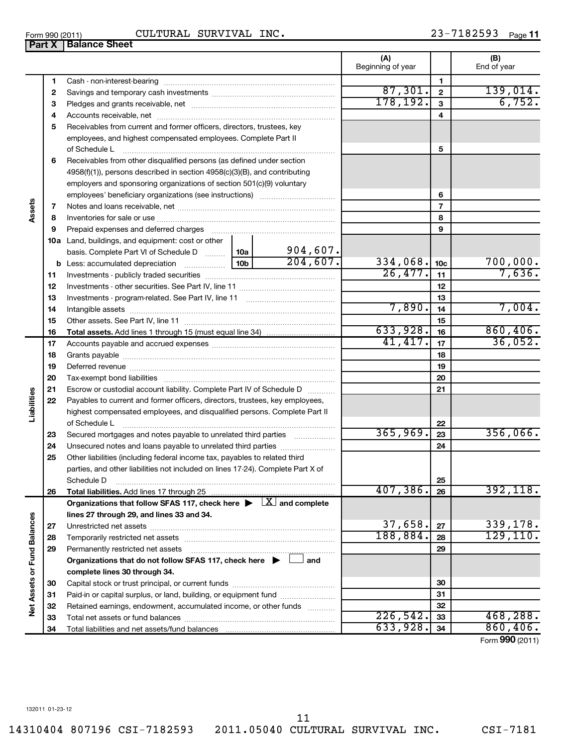14310404 807196 CSI-7182593 2011.05040 CULTURAL SURVIVAL INC. CSI-7181

**Part X Balance Sheet** 

# Form 990 (2011) Page CULTURAL SURVIVAL INC. 23-7182593

|                             |              |                                                                                                                                                                                                                               |          |          | (A)<br>Beginning of year |                 | (B)<br>End of year |
|-----------------------------|--------------|-------------------------------------------------------------------------------------------------------------------------------------------------------------------------------------------------------------------------------|----------|----------|--------------------------|-----------------|--------------------|
|                             | 1            | Cash - non-interest-bearing                                                                                                                                                                                                   |          |          |                          | 1               |                    |
|                             | $\mathbf{2}$ |                                                                                                                                                                                                                               |          |          | 87,301.                  | $\mathbf{2}$    | 139,014.           |
|                             | 3            |                                                                                                                                                                                                                               |          |          | 178,192.                 | 3               | 6,752.             |
|                             | 4            |                                                                                                                                                                                                                               |          |          |                          | 4               |                    |
|                             | 5            | Receivables from current and former officers, directors, trustees, key                                                                                                                                                        |          |          |                          |                 |                    |
|                             |              | employees, and highest compensated employees. Complete Part II                                                                                                                                                                |          |          |                          |                 |                    |
|                             |              | of Schedule L                                                                                                                                                                                                                 |          | 5        |                          |                 |                    |
|                             | 6            | Receivables from other disqualified persons (as defined under section                                                                                                                                                         |          |          |                          |                 |                    |
|                             |              | 4958(f)(1)), persons described in section 4958(c)(3)(B), and contributing                                                                                                                                                     |          |          |                          |                 |                    |
|                             |              | employers and sponsoring organizations of section 501(c)(9) voluntary                                                                                                                                                         |          |          |                          |                 |                    |
|                             |              |                                                                                                                                                                                                                               |          |          |                          | 6               |                    |
| Assets                      | 7            |                                                                                                                                                                                                                               |          |          |                          | $\overline{7}$  |                    |
|                             | 8            |                                                                                                                                                                                                                               |          |          |                          | 8               |                    |
|                             | 9            | Prepaid expenses and deferred charges [11] [11] prepaid expenses and deferred charges [11] [11] presummation and the Prepaid expension and the Prepaid experiment of Prepaid experiment and the Prepaid experiment of Prepaid |          |          |                          | 9               |                    |
|                             |              | 10a Land, buildings, and equipment: cost or other                                                                                                                                                                             |          |          |                          |                 |                    |
|                             |              | basis. Complete Part VI of Schedule D    10a   904,607.                                                                                                                                                                       |          |          |                          |                 |                    |
|                             |              |                                                                                                                                                                                                                               |          | 204,607. | 334,068.                 | 10 <sub>c</sub> | 700,000.           |
|                             | 11           |                                                                                                                                                                                                                               |          |          | $\overline{26, 477}$ .   | 11              | 7,636.             |
|                             | 12           |                                                                                                                                                                                                                               |          |          |                          | 12              |                    |
|                             | 13           |                                                                                                                                                                                                                               |          |          |                          | 13              |                    |
|                             | 14           |                                                                                                                                                                                                                               |          |          | 7,890.                   | 14              | 7,004.             |
|                             | 15           |                                                                                                                                                                                                                               |          |          |                          | 15              |                    |
|                             | 16           |                                                                                                                                                                                                                               |          |          | 633,928.                 | 16              | 860, 406.          |
|                             | 17           |                                                                                                                                                                                                                               |          |          | 41, 417.                 | 17              | 36,052.            |
|                             | 18           |                                                                                                                                                                                                                               |          |          | 18                       |                 |                    |
|                             | 19           |                                                                                                                                                                                                                               |          | 19       |                          |                 |                    |
|                             | 20           |                                                                                                                                                                                                                               |          | 20       |                          |                 |                    |
| Liabilities                 | 21           | Escrow or custodial account liability. Complete Part IV of Schedule D                                                                                                                                                         |          | 21       |                          |                 |                    |
|                             | 22           | Payables to current and former officers, directors, trustees, key employees,                                                                                                                                                  |          |          |                          |                 |                    |
|                             |              | highest compensated employees, and disqualified persons. Complete Part II                                                                                                                                                     |          |          |                          |                 |                    |
|                             |              | of Schedule L                                                                                                                                                                                                                 |          |          |                          | 22              |                    |
|                             | 23           | Secured mortgages and notes payable to unrelated third parties                                                                                                                                                                |          |          | 365,969.                 | 23              | 356,066.           |
|                             | 24           | Unsecured notes and loans payable to unrelated third parties                                                                                                                                                                  |          |          | 24                       |                 |                    |
|                             | 25           | Other liabilities (including federal income tax, payables to related third                                                                                                                                                    |          |          |                          |                 |                    |
|                             |              | parties, and other liabilities not included on lines 17-24). Complete Part X of                                                                                                                                               |          |          | 25                       |                 |                    |
|                             | 26           | Schedule D                                                                                                                                                                                                                    |          |          | 407,386.                 | 26              | 392, 118.          |
|                             |              | <b>Total liabilities.</b> Add lines 17 through 25<br>Organizations that follow SFAS 117, check here $\blacktriangleright \begin{array}{c} \boxed{X} \\ \end{array}$ and complete                                              |          |          |                          |                 |                    |
|                             |              | lines 27 through 29, and lines 33 and 34.                                                                                                                                                                                     |          |          |                          |                 |                    |
| Net Assets or Fund Balances | 27           |                                                                                                                                                                                                                               |          |          | 37,658.                  | 27              | 339,178.           |
|                             | 28           | Temporarily restricted net assets                                                                                                                                                                                             | 188,884. | 28       | 129, 110.                |                 |                    |
|                             | 29           | Permanently restricted net assets                                                                                                                                                                                             |          |          |                          | 29              |                    |
|                             |              | Organizations that do not follow SFAS 117, check here $\blacktriangleright \Box$ and                                                                                                                                          |          |          |                          |                 |                    |
|                             |              | complete lines 30 through 34.                                                                                                                                                                                                 |          |          |                          |                 |                    |
|                             | 30           |                                                                                                                                                                                                                               |          |          |                          | 30              |                    |
|                             | 31           | Paid-in or capital surplus, or land, building, or equipment fund                                                                                                                                                              |          |          |                          | 31              |                    |
|                             | 32           | Retained earnings, endowment, accumulated income, or other funds                                                                                                                                                              |          |          |                          | 32              |                    |
|                             | 33           |                                                                                                                                                                                                                               |          |          | 226,542.                 | 33              | 468, 288.          |
|                             | 34           |                                                                                                                                                                                                                               |          |          | 633,928.                 | 34              | 860, 406.          |

Form (2011) **990**

11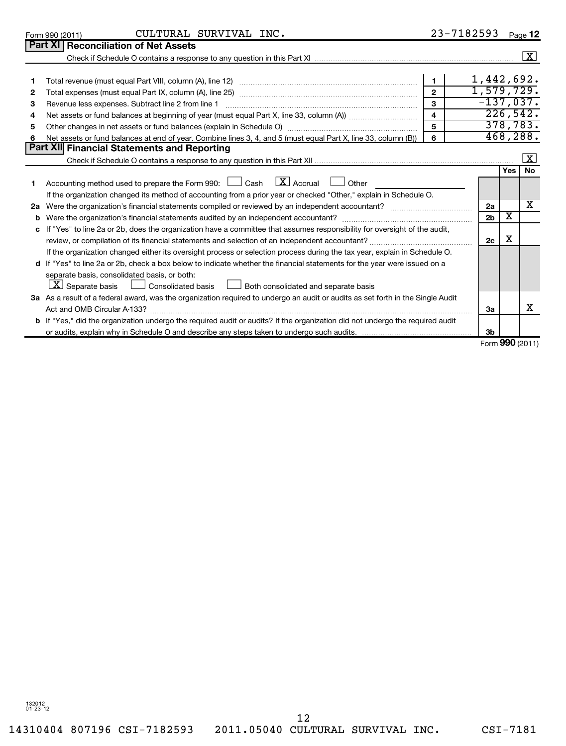|              | CULTURAL SURVIVAL INC.<br>Form 990 (2011)                                                                                                                                                                                      |                         | 23-7182593      |     | Page 12               |  |
|--------------|--------------------------------------------------------------------------------------------------------------------------------------------------------------------------------------------------------------------------------|-------------------------|-----------------|-----|-----------------------|--|
|              | Part XI   Reconciliation of Net Assets                                                                                                                                                                                         |                         |                 |     |                       |  |
|              | Check if Schedule O contains a response to any question in this Part XI manufactured contains and contained contains a response to any question in this Part XI manufactured contains and contains and contains and contains a |                         |                 |     | $\boxed{\textbf{X}}$  |  |
|              |                                                                                                                                                                                                                                |                         |                 |     |                       |  |
| 1            |                                                                                                                                                                                                                                | $\mathbf 1$             | 1,442,692.      |     |                       |  |
| $\mathbf{2}$ |                                                                                                                                                                                                                                | $\mathbf{z}$            | 1,579,729.      |     |                       |  |
| 3            | Revenue less expenses. Subtract line 2 from line 1                                                                                                                                                                             | $\mathbf{a}$            | $-137,037.$     |     |                       |  |
| 4            |                                                                                                                                                                                                                                | $\overline{\mathbf{4}}$ |                 |     | $\overline{226,542.}$ |  |
| 5            |                                                                                                                                                                                                                                | 5                       |                 |     | 378, 783.             |  |
| 6            | Net assets or fund balances at end of year. Combine lines 3, 4, and 5 (must equal Part X, line 33, column (B))                                                                                                                 | 6                       |                 |     | 468, 288.             |  |
|              | Part XII Financial Statements and Reporting                                                                                                                                                                                    |                         |                 |     |                       |  |
|              |                                                                                                                                                                                                                                |                         |                 |     | x                     |  |
|              |                                                                                                                                                                                                                                |                         |                 | Yes | <b>No</b>             |  |
| 1            | $\lfloor \mathbf{X} \rfloor$ Accrual<br>Accounting method used to prepare the Form 990: $\Box$ Cash<br>Other                                                                                                                   |                         |                 |     |                       |  |
|              | If the organization changed its method of accounting from a prior year or checked "Other," explain in Schedule O.                                                                                                              |                         |                 |     | x                     |  |
| 2a           | Were the organization's financial statements compiled or reviewed by an independent accountant?                                                                                                                                |                         |                 |     |                       |  |
| b            |                                                                                                                                                                                                                                |                         |                 |     |                       |  |
|              | c If "Yes" to line 2a or 2b, does the organization have a committee that assumes responsibility for oversight of the audit,                                                                                                    |                         |                 |     |                       |  |
|              |                                                                                                                                                                                                                                |                         | 2c              | x   |                       |  |
|              | If the organization changed either its oversight process or selection process during the tax year, explain in Schedule O.                                                                                                      |                         |                 |     |                       |  |
|              | d If "Yes" to line 2a or 2b, check a box below to indicate whether the financial statements for the year were issued on a                                                                                                      |                         |                 |     |                       |  |
|              | separate basis, consolidated basis, or both:                                                                                                                                                                                   |                         |                 |     |                       |  |
|              | $ \mathbf{X} $ Separate basis<br><b>Consolidated basis</b><br>Both consolidated and separate basis                                                                                                                             |                         |                 |     |                       |  |
|              | 3a As a result of a federal award, was the organization required to undergo an audit or audits as set forth in the Single Audit                                                                                                |                         |                 |     |                       |  |
|              |                                                                                                                                                                                                                                |                         | За              |     | x                     |  |
|              | b If "Yes," did the organization undergo the required audit or audits? If the organization did not undergo the required audit                                                                                                  |                         |                 |     |                       |  |
|              |                                                                                                                                                                                                                                |                         | 3 <sub>b</sub>  |     |                       |  |
|              |                                                                                                                                                                                                                                |                         | Form 990 (2011) |     |                       |  |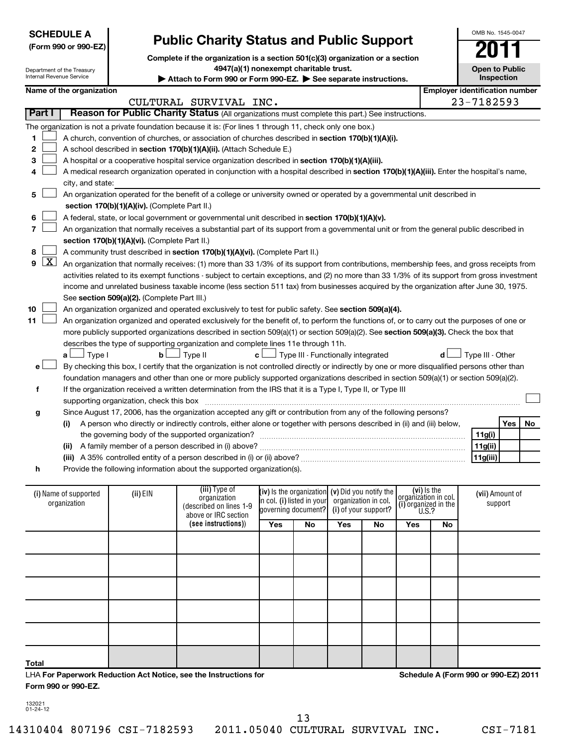| <b>SCHEDULE A</b> |  |
|-------------------|--|
|-------------------|--|

Department of the Treasury

# **(Form 990 or 990-EZ)**

# **Public Charity Status and Public Support**

**Complete if the organization is a section 501(c)(3) organization or a section**

**4947(a)(1) nonexempt charitable trust.**

Internal Revenue Service **(iii)**  Type of EIN (III) I ype of **(iv)** is the organization (v) Did you notify the lorganization in coll (vii) Amount of **(vi)**  (i) Name of supported **(ii)** EIN (iii)  $\alpha$  (iii) is the organization (V) Did you notify the  $\alpha$  (vii). Attach to Form 990 or Form 990-EZ. See separate instructions. **Inspection Name of the organization Employer identification number 1 2 3 4 5 6 7 8 9 10 11** A church, convention of churches, or association of churches described in section 170(b)(1)(A)(i). A school described in **section 170(b)(1)(A)(ii).** (Attach Schedule E.) A hospital or a cooperative hospital service organization described in section 170(b)(1)(A)(iii). A medical research organization operated in conjunction with a hospital described in **section 170(b)(1)(A)(iii).** Enter the hospital's name, **section 170(b)(1)(A)(iv).**  (Complete Part II.) A federal, state, or local government or governmental unit described in **section 170(b)(1)(A)(v). section 170(b)(1)(A)(vi).** (Complete Part II.) A community trust described in **section 170(b)(1)(A)(vi).** (Complete Part II.) See s**ection 509(a)(2).** (Complete Part III.) An organization organized and operated exclusively to test for public safety. See **section 509(a)(4).** more publicly supported organizations described in section 509(a)(1) or section 509(a)(2). See **section 509(a)(3).** Check the box that **a b c d** Type I Type II Type III - Functionally integrated Type III - Other † † † † **e f g h (i)** A person who directly or indirectly controls, either alone or together with persons described in (ii) and (iii) below, **(ii)** A family member of a person described in (i) above? ~~~~~~~~~~~~~~~~~~~~~~~~~~~~~~ **(iii)** A 35% controlled entity of a person described in (i) or (ii) above? ~~~~~~~~~~~~~~~~~~~~~~~~ **Yes No 11g(i) 11g(ii) 11g(iii)**  $m<sub>1</sub>$  supported by  $\frac{1}{2}$ **Part I** | Reason for Public Charity Status (All organizations must complete this part.) See instructions. The organization is not a private foundation because it is: (For lines 1 through 11, check only one box.) city, and state: An organization operated for the benefit of a college or university owned or operated by a governmental unit described in An organization that normally receives a substantial part of its support from a governmental unit or from the general public described in An organization that normally receives: (1) more than 33 1/3% of its support from contributions, membership fees, and gross receipts from activities related to its exempt functions - subject to certain exceptions, and (2) no more than 33 1/3% of its support from gross investment income and unrelated business taxable income (less section 511 tax) from businesses acquired by the organization after June 30, 1975. An organization organized and operated exclusively for the benefit of, to perform the functions of, or to carry out the purposes of one or describes the type of supporting organization and complete lines 11e through 11h. By checking this box, I certify that the organization is not controlled directly or indirectly by one or more disqualified persons other than foundation managers and other than one or more publicly supported organizations described in section 509(a)(1) or section 509(a)(2). If the organization received a written determination from the IRS that it is a Type I, Type II, or Type III supporting organization, check this box ~~~~~~~~~~~~~~~~~~~~~~~~~~~~~~~~~~~~~~~~~~~~~~ Since August 17, 2006, has the organization accepted any gift or contribution from any of the following persons? the governing body of the supported organization? ~~~~~~~~~~~~~~~~~~~~~~~~~~~~~~ Provide the following information about the supported organization(s).  $\sim$  $\sim$  $\sim$  $\sim$  $\sim$  $\sim$  $\sim$  $\sim$  $\lfloor x \rfloor$  $\sim$  $\sim$ †  $\left\vert \cdot\right\vert$ CULTURAL SURVIVAL INC. 23-7182593

| (i) Name of supported<br>organization | (ii) EIN | (iii) Type of<br>organization<br>(described on lines 1-9<br>above or IRC section |     | (iv) is the organization $(v)$ Did you notify the<br>in col. (i) listed in your organization in col.<br>governing document? (i) of your support? |            |    | (vi) Is the<br>organization in col.<br>(i) organized in the<br>U.S.? |    | (vii) Amount of<br>support |
|---------------------------------------|----------|----------------------------------------------------------------------------------|-----|--------------------------------------------------------------------------------------------------------------------------------------------------|------------|----|----------------------------------------------------------------------|----|----------------------------|
|                                       |          | (see instructions))                                                              | Yes | No                                                                                                                                               | <b>Yes</b> | No | Yes                                                                  | No |                            |
|                                       |          |                                                                                  |     |                                                                                                                                                  |            |    |                                                                      |    |                            |
|                                       |          |                                                                                  |     |                                                                                                                                                  |            |    |                                                                      |    |                            |
|                                       |          |                                                                                  |     |                                                                                                                                                  |            |    |                                                                      |    |                            |
|                                       |          |                                                                                  |     |                                                                                                                                                  |            |    |                                                                      |    |                            |
|                                       |          |                                                                                  |     |                                                                                                                                                  |            |    |                                                                      |    |                            |
| <b>Total</b>                          |          |                                                                                  |     |                                                                                                                                                  |            |    |                                                                      |    |                            |

LHA **For Paperwork Reduction Act Notice, see the Instructions for Form 990 or 990-EZ.**

**Schedule A (Form 990 or 990-EZ) 2011**

132021 01-24-12

13

14310404 807196 CSI-7182593 2011.05040 CULTURAL SURVIVAL INC. CSI-7181

OMB No. 1545-0047

**Open to Public**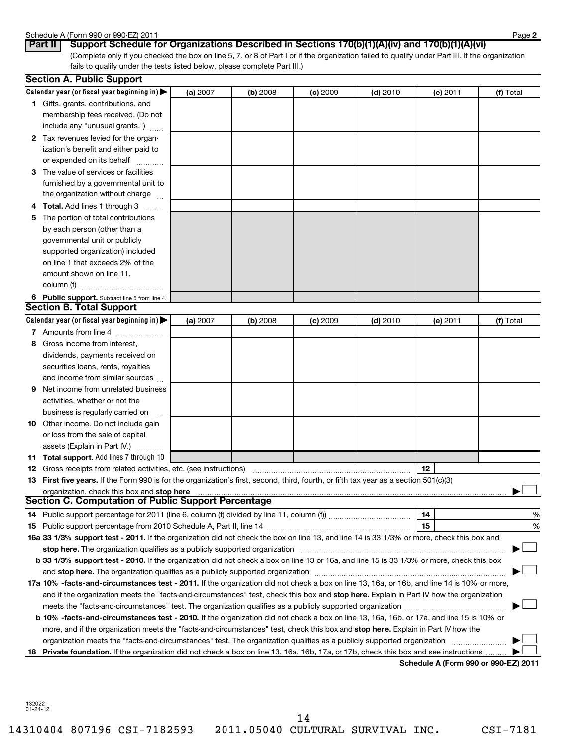# Schedule A (Form 990 or 990-EZ) 2011<br>**Part II | Support Schedule f**

| or 990-EZ) 20 |
|---------------|
|---------------|

**2**

(Complete only if you checked the box on line 5, 7, or 8 of Part I or if the organization failed to qualify under Part III. If the organization fails to qualify under the tests listed below, please complete Part III.) **Part II Support Schedule for Organizations Described in Sections 170(b)(1)(A)(iv) and 170(b)(1)(A)(vi)**

|    | <b>Section A. Public Support</b>                                                                                                                                                                                               |          |          |            |            |                                            |           |  |  |
|----|--------------------------------------------------------------------------------------------------------------------------------------------------------------------------------------------------------------------------------|----------|----------|------------|------------|--------------------------------------------|-----------|--|--|
|    | Calendar year (or fiscal year beginning in) $\blacktriangleright$                                                                                                                                                              | (a) 2007 | (b) 2008 | $(c)$ 2009 | $(d)$ 2010 | (e) 2011                                   | (f) Total |  |  |
|    | 1 Gifts, grants, contributions, and                                                                                                                                                                                            |          |          |            |            |                                            |           |  |  |
|    | membership fees received. (Do not                                                                                                                                                                                              |          |          |            |            |                                            |           |  |  |
|    | include any "unusual grants.")                                                                                                                                                                                                 |          |          |            |            |                                            |           |  |  |
|    | 2 Tax revenues levied for the organ-                                                                                                                                                                                           |          |          |            |            |                                            |           |  |  |
|    | ization's benefit and either paid to                                                                                                                                                                                           |          |          |            |            |                                            |           |  |  |
|    | or expended on its behalf                                                                                                                                                                                                      |          |          |            |            |                                            |           |  |  |
|    | 3 The value of services or facilities                                                                                                                                                                                          |          |          |            |            |                                            |           |  |  |
|    | furnished by a governmental unit to                                                                                                                                                                                            |          |          |            |            |                                            |           |  |  |
|    | the organization without charge                                                                                                                                                                                                |          |          |            |            |                                            |           |  |  |
|    | <b>Total.</b> Add lines 1 through 3                                                                                                                                                                                            |          |          |            |            |                                            |           |  |  |
| 5  | The portion of total contributions                                                                                                                                                                                             |          |          |            |            |                                            |           |  |  |
|    | by each person (other than a                                                                                                                                                                                                   |          |          |            |            |                                            |           |  |  |
|    | governmental unit or publicly                                                                                                                                                                                                  |          |          |            |            |                                            |           |  |  |
|    | supported organization) included                                                                                                                                                                                               |          |          |            |            |                                            |           |  |  |
|    | on line 1 that exceeds 2% of the                                                                                                                                                                                               |          |          |            |            |                                            |           |  |  |
|    | amount shown on line 11,                                                                                                                                                                                                       |          |          |            |            |                                            |           |  |  |
|    | column (f)                                                                                                                                                                                                                     |          |          |            |            |                                            |           |  |  |
|    | 6 Public support. Subtract line 5 from line 4.                                                                                                                                                                                 |          |          |            |            |                                            |           |  |  |
|    | <b>Section B. Total Support</b>                                                                                                                                                                                                |          |          |            |            |                                            |           |  |  |
|    | Calendar year (or fiscal year beginning in) $\blacktriangleright$                                                                                                                                                              | (a) 2007 | (b) 2008 | $(c)$ 2009 | $(d)$ 2010 | (e) 2011                                   | (f) Total |  |  |
|    | 7 Amounts from line 4                                                                                                                                                                                                          |          |          |            |            |                                            |           |  |  |
| 8  | Gross income from interest,                                                                                                                                                                                                    |          |          |            |            |                                            |           |  |  |
|    | dividends, payments received on                                                                                                                                                                                                |          |          |            |            |                                            |           |  |  |
|    | securities loans, rents, royalties                                                                                                                                                                                             |          |          |            |            |                                            |           |  |  |
|    | and income from similar sources                                                                                                                                                                                                |          |          |            |            |                                            |           |  |  |
| 9  | Net income from unrelated business                                                                                                                                                                                             |          |          |            |            |                                            |           |  |  |
|    | activities, whether or not the                                                                                                                                                                                                 |          |          |            |            |                                            |           |  |  |
|    | business is regularly carried on                                                                                                                                                                                               |          |          |            |            |                                            |           |  |  |
| 10 | Other income. Do not include gain                                                                                                                                                                                              |          |          |            |            |                                            |           |  |  |
|    | or loss from the sale of capital                                                                                                                                                                                               |          |          |            |            |                                            |           |  |  |
|    | assets (Explain in Part IV.)                                                                                                                                                                                                   |          |          |            |            |                                            |           |  |  |
|    | 11 Total support. Add lines 7 through 10                                                                                                                                                                                       |          |          |            |            |                                            |           |  |  |
|    | <b>12</b> Gross receipts from related activities, etc. (see instructions)                                                                                                                                                      |          |          |            |            | 12                                         |           |  |  |
|    | 13 First five years. If the Form 990 is for the organization's first, second, third, fourth, or fifth tax year as a section 501(c)(3)                                                                                          |          |          |            |            |                                            |           |  |  |
|    | organization, check this box and stop here                                                                                                                                                                                     |          |          |            |            |                                            |           |  |  |
|    | <b>Section C. Computation of Public Support Percentage</b>                                                                                                                                                                     |          |          |            |            |                                            |           |  |  |
|    |                                                                                                                                                                                                                                |          |          |            |            | 14                                         | %         |  |  |
|    |                                                                                                                                                                                                                                |          |          |            |            | 15                                         | %         |  |  |
|    | 16a 33 1/3% support test - 2011. If the organization did not check the box on line 13, and line 14 is 33 1/3% or more, check this box and                                                                                      |          |          |            |            |                                            |           |  |  |
|    | stop here. The organization qualifies as a publicly supported organization                                                                                                                                                     |          |          |            |            |                                            |           |  |  |
|    | b 33 1/3% support test - 2010. If the organization did not check a box on line 13 or 16a, and line 15 is 33 1/3% or more, check this box                                                                                       |          |          |            |            |                                            |           |  |  |
|    | and stop here. The organization qualifies as a publicly supported organization [11] manuscription manuscription manuscription manuscription manuscription manuscription manuscription and an analyze of the organization manus |          |          |            |            |                                            |           |  |  |
|    | 17a 10% -facts-and-circumstances test - 2011. If the organization did not check a box on line 13, 16a, or 16b, and line 14 is 10% or more,                                                                                     |          |          |            |            |                                            |           |  |  |
|    | and if the organization meets the "facts-and-circumstances" test, check this box and stop here. Explain in Part IV how the organization                                                                                        |          |          |            |            |                                            |           |  |  |
|    |                                                                                                                                                                                                                                |          |          |            |            |                                            |           |  |  |
|    | b 10% -facts-and-circumstances test - 2010. If the organization did not check a box on line 13, 16a, 16b, or 17a, and line 15 is 10% or                                                                                        |          |          |            |            |                                            |           |  |  |
|    | more, and if the organization meets the "facts-and-circumstances" test, check this box and stop here. Explain in Part IV how the                                                                                               |          |          |            |            |                                            |           |  |  |
|    | organization meets the "facts-and-circumstances" test. The organization qualifies as a publicly supported organization                                                                                                         |          |          |            |            |                                            |           |  |  |
| 18 | Private foundation. If the organization did not check a box on line 13, 16a, 16b, 17a, or 17b, check this box and see instructions                                                                                             |          |          |            |            |                                            |           |  |  |
|    |                                                                                                                                                                                                                                |          |          |            |            | <b>Cohodulo A (Form 000 or 000 EZ) 201</b> |           |  |  |

**Schedule A (Form 990 or 990-EZ) 2011**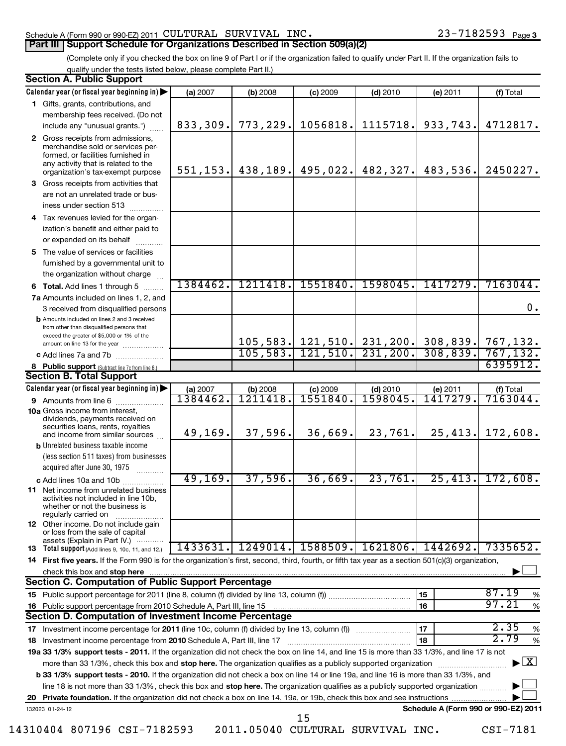### Schedule A (Form 990 or 990-EZ) 2011  $\verb|CULTURAL|$   $\verb|SURVIVAL|$   $\verb|INC.|$   $\verb|23-7182593$   $\verb|Page|$ **Part III | Support Schedule for Organizations Described in Section 509(a)(2)**

# (Complete only if you checked the box on line 9 of Part I or if the organization failed to qualify under Part II. If the organization fails to

qualify under the tests listed below, please complete Part II.)

|    | <b>Section A. Public Support</b>                                                                                                                                                                                                                                         |           |          |            |                                 |                                                   |                                          |
|----|--------------------------------------------------------------------------------------------------------------------------------------------------------------------------------------------------------------------------------------------------------------------------|-----------|----------|------------|---------------------------------|---------------------------------------------------|------------------------------------------|
|    | Calendar year (or fiscal year beginning in)                                                                                                                                                                                                                              | (a) 2007  | (b) 2008 | $(c)$ 2009 | $(d)$ 2010                      | $(e)$ 2011                                        | (f) Total                                |
|    | 1 Gifts, grants, contributions, and                                                                                                                                                                                                                                      |           |          |            |                                 |                                                   |                                          |
|    | membership fees received. (Do not                                                                                                                                                                                                                                        |           |          |            |                                 |                                                   |                                          |
|    | include any "unusual grants.")                                                                                                                                                                                                                                           | 833,309.  | 773,229. | 1056818.   | 1115718.                        | 933,743.                                          | 4712817.                                 |
|    | 2 Gross receipts from admissions,<br>merchandise sold or services per-<br>formed, or facilities furnished in<br>any activity that is related to the<br>organization's tax-exempt purpose                                                                                 | 551, 153. |          |            | $438, 189.$ 495, 022. 482, 327. | 483,536.                                          | 2450227.                                 |
|    | <b>3</b> Gross receipts from activities that                                                                                                                                                                                                                             |           |          |            |                                 |                                                   |                                          |
|    | are not an unrelated trade or bus-<br>iness under section 513                                                                                                                                                                                                            |           |          |            |                                 |                                                   |                                          |
| 4  | Tax revenues levied for the organ-                                                                                                                                                                                                                                       |           |          |            |                                 |                                                   |                                          |
|    | ization's benefit and either paid to<br>or expended on its behalf                                                                                                                                                                                                        |           |          |            |                                 |                                                   |                                          |
|    | 5 The value of services or facilities                                                                                                                                                                                                                                    |           |          |            |                                 |                                                   |                                          |
|    | furnished by a governmental unit to                                                                                                                                                                                                                                      |           |          |            |                                 |                                                   |                                          |
|    | the organization without charge                                                                                                                                                                                                                                          |           |          |            |                                 |                                                   |                                          |
|    | 6 Total. Add lines 1 through 5                                                                                                                                                                                                                                           | 1384462.  | 1211418. | 1551840.   | 1598045.                        | 1417279.                                          | 7163044.                                 |
|    | 7a Amounts included on lines 1, 2, and                                                                                                                                                                                                                                   |           |          |            |                                 |                                                   |                                          |
|    | 3 received from disqualified persons                                                                                                                                                                                                                                     |           |          |            |                                 |                                                   | 0.                                       |
|    | <b>b</b> Amounts included on lines 2 and 3 received<br>from other than disqualified persons that                                                                                                                                                                         |           |          |            |                                 |                                                   |                                          |
|    | exceed the greater of \$5,000 or 1% of the                                                                                                                                                                                                                               |           |          |            |                                 | 105, 583. 121, 510. 231, 200. 308, 839. 767, 132. |                                          |
|    | amount on line 13 for the year<br>c Add lines 7a and 7b                                                                                                                                                                                                                  |           |          |            |                                 | 105, 583. 121, 510. 231, 200. 308, 839. 767, 132. |                                          |
|    | 8 Public support (Subtract line 7c from line 6.)                                                                                                                                                                                                                         |           |          |            |                                 |                                                   | 6395912.                                 |
|    | <b>Section B. Total Support</b>                                                                                                                                                                                                                                          |           |          |            |                                 |                                                   |                                          |
|    | Calendar year (or fiscal year beginning in)                                                                                                                                                                                                                              | (a) 2007  | (b) 2008 | $(c)$ 2009 | $(d)$ 2010                      | (e) 2011                                          | (f) Total                                |
|    | <b>9</b> Amounts from line 6                                                                                                                                                                                                                                             | 1384462.  | 1211418  | 1551840    | 1598045                         | 1417279                                           | 7163044.                                 |
|    | <b>10a</b> Gross income from interest,<br>dividends, payments received on<br>securities loans, rents, royalties                                                                                                                                                          |           |          |            |                                 |                                                   |                                          |
|    | and income from similar sources                                                                                                                                                                                                                                          | 49,169.   | 37,596.  | 36,669.    | 23,761.                         | 25, 413.                                          | 172,608.                                 |
|    | <b>b</b> Unrelated business taxable income                                                                                                                                                                                                                               |           |          |            |                                 |                                                   |                                          |
|    | (less section 511 taxes) from businesses                                                                                                                                                                                                                                 |           |          |            |                                 |                                                   |                                          |
|    | acquired after June 30, 1975                                                                                                                                                                                                                                             |           |          |            |                                 |                                                   |                                          |
|    | c Add lines 10a and 10b                                                                                                                                                                                                                                                  | 49,169.   | 37,596.  | 36,669.    | 23,761.                         | 25,413.                                           | 172,608.                                 |
|    | <b>11</b> Net income from unrelated business<br>activities not included in line 10b,<br>whether or not the business is<br>regularly carried on                                                                                                                           |           |          |            |                                 |                                                   |                                          |
|    | <b>12</b> Other income. Do not include gain<br>or loss from the sale of capital                                                                                                                                                                                          |           |          |            |                                 |                                                   |                                          |
|    | assets (Explain in Part IV.)<br>13 Total support (Add lines 9, 10c, 11, and 12.)                                                                                                                                                                                         | 1433631.  | 1249014. | 1588509.   | 1621806.                        | 1442692.                                          | 7335652.                                 |
|    | 14 First five years. If the Form 990 is for the organization's first, second, third, fourth, or fifth tax year as a section 501(c)(3) organization,                                                                                                                      |           |          |            |                                 |                                                   |                                          |
|    | check this box and stop here with the content of the content of the state of the content of the state of the state of the content of the content of the content of the content of the content of the content of the content of                                           |           |          |            |                                 |                                                   |                                          |
|    | <b>Section C. Computation of Public Support Percentage</b>                                                                                                                                                                                                               |           |          |            |                                 |                                                   |                                          |
| 15 |                                                                                                                                                                                                                                                                          |           |          |            |                                 | 15                                                | 87.19<br>%                               |
| 16 |                                                                                                                                                                                                                                                                          |           |          |            |                                 | 16                                                | 97.21<br>$\%$                            |
|    | Section D. Computation of Investment Income Percentage                                                                                                                                                                                                                   |           |          |            |                                 |                                                   |                                          |
| 17 |                                                                                                                                                                                                                                                                          |           |          |            |                                 | 17                                                | 2.35<br>$\%$<br>2.79                     |
| 18 |                                                                                                                                                                                                                                                                          |           |          |            |                                 | 18                                                | $\%$                                     |
|    | 19a 33 1/3% support tests - 2011. If the organization did not check the box on line 14, and line 15 is more than 33 1/3%, and line 17 is not                                                                                                                             |           |          |            |                                 |                                                   | $\blacktriangleright$ $\boxed{\text{X}}$ |
|    | more than 33 1/3%, check this box and stop here. The organization qualifies as a publicly supported organization                                                                                                                                                         |           |          |            |                                 |                                                   |                                          |
|    | b 33 1/3% support tests - 2010. If the organization did not check a box on line 14 or line 19a, and line 16 is more than 33 1/3%, and<br>line 18 is not more than 33 1/3%, check this box and stop here. The organization qualifies as a publicly supported organization |           |          |            |                                 |                                                   |                                          |
|    |                                                                                                                                                                                                                                                                          |           |          |            |                                 |                                                   |                                          |
|    | 132023 01-24-12                                                                                                                                                                                                                                                          |           |          |            |                                 | Schedule A (Form 990 or 990-EZ) 2011              |                                          |
|    | 15                                                                                                                                                                                                                                                                       |           |          |            |                                 |                                                   |                                          |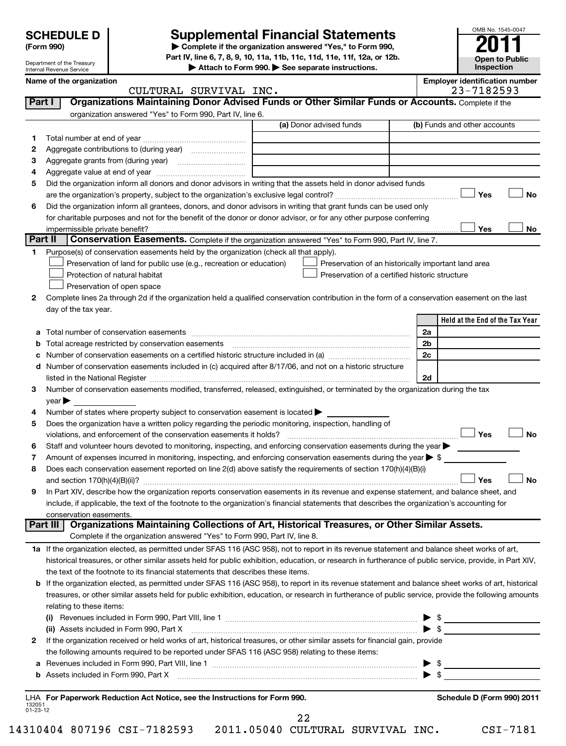Department of the Treasury Internal Revenue Service

# **Supplemental Financial Statements**

**(Form 990) | Complete if the organization answered "Yes," to Form 990, Part IV, line 6, 7, 8, 9, 10, 11a, 11b, 11c, 11d, 11e, 11f, 12a, or 12b.**

**| Attach to Form 990. | See separate instructions.**

| OMB No. 1545-0047     |
|-----------------------|
| <b>D</b>              |
|                       |
| <b>Open to Public</b> |
| Inspection            |

|               | Name of the organization<br>CULTURAL SURVIVAL INC.                                                                                                                                                                                      |                                                     | <b>Employer identification number</b><br>23-7182593 |  |  |  |
|---------------|-----------------------------------------------------------------------------------------------------------------------------------------------------------------------------------------------------------------------------------------|-----------------------------------------------------|-----------------------------------------------------|--|--|--|
| <b>Part I</b> | Organizations Maintaining Donor Advised Funds or Other Similar Funds or Accounts. Complete if the                                                                                                                                       |                                                     |                                                     |  |  |  |
|               | organization answered "Yes" to Form 990, Part IV, line 6.                                                                                                                                                                               |                                                     |                                                     |  |  |  |
|               |                                                                                                                                                                                                                                         | (a) Donor advised funds                             | (b) Funds and other accounts                        |  |  |  |
|               |                                                                                                                                                                                                                                         |                                                     |                                                     |  |  |  |
| 1             |                                                                                                                                                                                                                                         |                                                     |                                                     |  |  |  |
| 2             |                                                                                                                                                                                                                                         |                                                     |                                                     |  |  |  |
| з             | Aggregate grants from (during year) [10] [10] Aggregate grants from (during year)                                                                                                                                                       |                                                     |                                                     |  |  |  |
| 4             |                                                                                                                                                                                                                                         |                                                     |                                                     |  |  |  |
| 5             | Did the organization inform all donors and donor advisors in writing that the assets held in donor advised funds                                                                                                                        |                                                     |                                                     |  |  |  |
|               |                                                                                                                                                                                                                                         |                                                     | Yes<br>No                                           |  |  |  |
| 6             | Did the organization inform all grantees, donors, and donor advisors in writing that grant funds can be used only                                                                                                                       |                                                     |                                                     |  |  |  |
|               | for charitable purposes and not for the benefit of the donor or donor advisor, or for any other purpose conferring                                                                                                                      |                                                     |                                                     |  |  |  |
|               |                                                                                                                                                                                                                                         |                                                     | Yes<br>No                                           |  |  |  |
| Part II       | <b>Conservation Easements.</b> Complete if the organization answered "Yes" to Form 990, Part IV, line 7.                                                                                                                                |                                                     |                                                     |  |  |  |
| 1             | Purpose(s) of conservation easements held by the organization (check all that apply).                                                                                                                                                   |                                                     |                                                     |  |  |  |
|               | Preservation of land for public use (e.g., recreation or education)                                                                                                                                                                     | Preservation of an historically important land area |                                                     |  |  |  |
|               | Protection of natural habitat                                                                                                                                                                                                           | Preservation of a certified historic structure      |                                                     |  |  |  |
|               | Preservation of open space                                                                                                                                                                                                              |                                                     |                                                     |  |  |  |
| 2             | Complete lines 2a through 2d if the organization held a qualified conservation contribution in the form of a conservation easement on the last                                                                                          |                                                     |                                                     |  |  |  |
|               | day of the tax year.                                                                                                                                                                                                                    |                                                     |                                                     |  |  |  |
|               |                                                                                                                                                                                                                                         |                                                     | Held at the End of the Tax Year                     |  |  |  |
| а             |                                                                                                                                                                                                                                         |                                                     | 2a                                                  |  |  |  |
|               |                                                                                                                                                                                                                                         |                                                     | 2b                                                  |  |  |  |
| c             | Number of conservation easements on a certified historic structure included in (a) manufacture included in (a)                                                                                                                          |                                                     | 2c                                                  |  |  |  |
|               | Number of conservation easements included in (c) acquired after 8/17/06, and not on a historic structure                                                                                                                                |                                                     |                                                     |  |  |  |
|               |                                                                                                                                                                                                                                         |                                                     | 2d                                                  |  |  |  |
| З             | Number of conservation easements modified, transferred, released, extinguished, or terminated by the organization during the tax                                                                                                        |                                                     |                                                     |  |  |  |
|               | $year \blacktriangleright$                                                                                                                                                                                                              |                                                     |                                                     |  |  |  |
| 4             | Number of states where property subject to conservation easement is located >                                                                                                                                                           |                                                     |                                                     |  |  |  |
| 5             | Does the organization have a written policy regarding the periodic monitoring, inspection, handling of                                                                                                                                  |                                                     |                                                     |  |  |  |
|               | violations, and enforcement of the conservation easements it holds?                                                                                                                                                                     |                                                     | Yes<br><b>No</b>                                    |  |  |  |
| 6             | Staff and volunteer hours devoted to monitoring, inspecting, and enforcing conservation easements during the year $\blacktriangleright$                                                                                                 |                                                     |                                                     |  |  |  |
| 7             | Amount of expenses incurred in monitoring, inspecting, and enforcing conservation easements during the year $\triangleright$ \$                                                                                                         |                                                     |                                                     |  |  |  |
| 8             | Does each conservation easement reported on line 2(d) above satisfy the requirements of section 170(h)(4)(B)(i)                                                                                                                         |                                                     |                                                     |  |  |  |
|               | <b>No</b><br>Yes                                                                                                                                                                                                                        |                                                     |                                                     |  |  |  |
| 9             | In Part XIV, describe how the organization reports conservation easements in its revenue and expense statement, and balance sheet, and                                                                                                  |                                                     |                                                     |  |  |  |
|               | include, if applicable, the text of the footnote to the organization's financial statements that describes the organization's accounting for                                                                                            |                                                     |                                                     |  |  |  |
|               | conservation easements.                                                                                                                                                                                                                 |                                                     |                                                     |  |  |  |
|               | Organizations Maintaining Collections of Art, Historical Treasures, or Other Similar Assets.<br><b>Part III</b>                                                                                                                         |                                                     |                                                     |  |  |  |
|               | Complete if the organization answered "Yes" to Form 990, Part IV, line 8.                                                                                                                                                               |                                                     |                                                     |  |  |  |
|               | 1a If the organization elected, as permitted under SFAS 116 (ASC 958), not to report in its revenue statement and balance sheet works of art,                                                                                           |                                                     |                                                     |  |  |  |
|               | historical treasures, or other similar assets held for public exhibition, education, or research in furtherance of public service, provide, in Part XIV,                                                                                |                                                     |                                                     |  |  |  |
|               | the text of the footnote to its financial statements that describes these items.                                                                                                                                                        |                                                     |                                                     |  |  |  |
| b             | If the organization elected, as permitted under SFAS 116 (ASC 958), to report in its revenue statement and balance sheet works of art, historical                                                                                       |                                                     |                                                     |  |  |  |
|               | treasures, or other similar assets held for public exhibition, education, or research in furtherance of public service, provide the following amounts                                                                                   |                                                     |                                                     |  |  |  |
|               | relating to these items:                                                                                                                                                                                                                |                                                     |                                                     |  |  |  |
|               |                                                                                                                                                                                                                                         |                                                     |                                                     |  |  |  |
|               | (ii) Assets included in Form 990, Part X                                                                                                                                                                                                |                                                     |                                                     |  |  |  |
| 2             | If the organization received or held works of art, historical treasures, or other similar assets for financial gain, provide                                                                                                            |                                                     |                                                     |  |  |  |
|               | the following amounts required to be reported under SFAS 116 (ASC 958) relating to these items:                                                                                                                                         |                                                     |                                                     |  |  |  |
| а             |                                                                                                                                                                                                                                         |                                                     |                                                     |  |  |  |
| b             | Assets included in Form 990, Part X <b>must consume the consumer consumer to the s</b> s <u>selection</u> and set a set of the set of the set of the set of the set of the set of the set of the set of the set of the set of the set o |                                                     |                                                     |  |  |  |
|               |                                                                                                                                                                                                                                         |                                                     |                                                     |  |  |  |

132051 01-23-12 **For Paperwork Reduction Act Notice, see the Instructions for Form 990. Schedule D (Form 990) 2011** LHA

22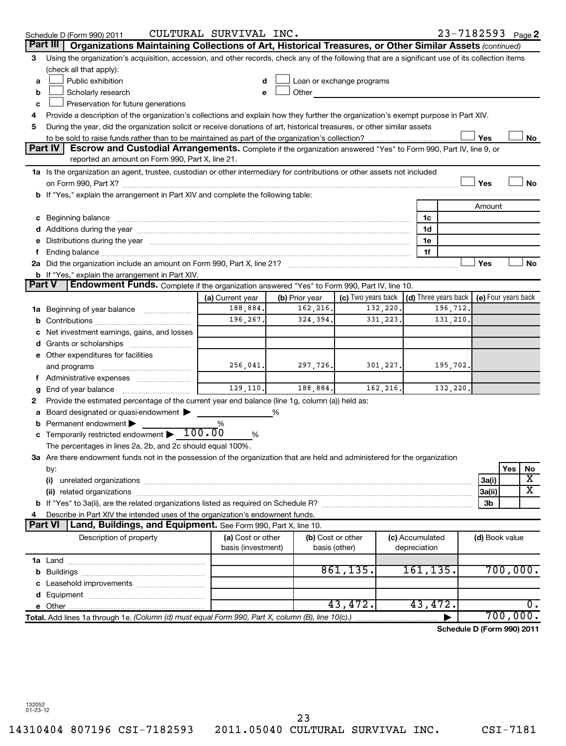|               | Schedule D (Form 990) 2011                                                                                                                                                                                                     | CULTURAL SURVIVAL INC.       |                            |                           |           |                 |          |                | $23 - 7182593$ Page 2                        |
|---------------|--------------------------------------------------------------------------------------------------------------------------------------------------------------------------------------------------------------------------------|------------------------------|----------------------------|---------------------------|-----------|-----------------|----------|----------------|----------------------------------------------|
| Part III      | Organizations Maintaining Collections of Art, Historical Treasures, or Other Similar Assets (continued)                                                                                                                        |                              |                            |                           |           |                 |          |                |                                              |
| 3             | Using the organization's acquisition, accession, and other records, check any of the following that are a significant use of its collection items                                                                              |                              |                            |                           |           |                 |          |                |                                              |
|               | (check all that apply):                                                                                                                                                                                                        |                              |                            |                           |           |                 |          |                |                                              |
| a             | Public exhibition                                                                                                                                                                                                              | d                            |                            | Loan or exchange programs |           |                 |          |                |                                              |
| b             | Scholarly research                                                                                                                                                                                                             | e                            | Other                      |                           |           |                 |          |                |                                              |
| c             | Preservation for future generations                                                                                                                                                                                            |                              |                            |                           |           |                 |          |                |                                              |
| 4             | Provide a description of the organization's collections and explain how they further the organization's exempt purpose in Part XIV.                                                                                            |                              |                            |                           |           |                 |          |                |                                              |
| 5             | During the year, did the organization solicit or receive donations of art, historical treasures, or other similar assets                                                                                                       |                              |                            |                           |           |                 |          |                |                                              |
|               |                                                                                                                                                                                                                                |                              |                            |                           |           |                 |          | Yes            | No                                           |
|               | Part IV<br>Escrow and Custodial Arrangements. Complete if the organization answered "Yes" to Form 990, Part IV, line 9, or                                                                                                     |                              |                            |                           |           |                 |          |                |                                              |
|               | reported an amount on Form 990, Part X, line 21.                                                                                                                                                                               |                              |                            |                           |           |                 |          |                |                                              |
|               | 1a Is the organization an agent, trustee, custodian or other intermediary for contributions or other assets not included                                                                                                       |                              |                            |                           |           |                 |          |                |                                              |
|               |                                                                                                                                                                                                                                |                              |                            |                           |           |                 |          | Yes            | No                                           |
|               | b If "Yes," explain the arrangement in Part XIV and complete the following table:                                                                                                                                              |                              |                            |                           |           |                 |          |                |                                              |
|               |                                                                                                                                                                                                                                |                              |                            |                           |           |                 |          | Amount         |                                              |
|               | c Beginning balance measurements and the contract of the contract of the contract of the contract of the contract of the contract of the contract of the contract of the contract of the contract of the contract of the contr |                              |                            |                           |           | 1c              |          |                |                                              |
|               |                                                                                                                                                                                                                                |                              |                            |                           |           | 1d              |          |                |                                              |
|               | Distributions during the year manufactured and an account of the year manufactured and the year manufactured and the year manufactured and the year manufactured and the year manufactured and the year manufactured and the y |                              |                            |                           |           | 1e              |          |                |                                              |
|               |                                                                                                                                                                                                                                |                              |                            |                           |           | 1f              |          |                |                                              |
|               |                                                                                                                                                                                                                                |                              |                            |                           |           |                 |          | Yes            | No                                           |
| <b>Part V</b> | <b>b</b> If "Yes," explain the arrangement in Part XIV.                                                                                                                                                                        |                              |                            |                           |           |                 |          |                |                                              |
|               | Endowment Funds. Complete if the organization answered "Yes" to Form 990, Part IV, line 10.                                                                                                                                    |                              |                            | (c) Two years back        |           |                 |          |                | (d) Three years back $ $ (e) Four years back |
|               |                                                                                                                                                                                                                                | (a) Current year<br>188,884. | (b) Prior year<br>162,216. |                           | 132,220.  |                 | 196,712. |                |                                              |
|               | <b>1a</b> Beginning of year balance                                                                                                                                                                                            | 196,267.                     | 324,394.                   |                           | 331, 223. |                 | 131,210. |                |                                              |
|               |                                                                                                                                                                                                                                |                              |                            |                           |           |                 |          |                |                                              |
|               | Net investment earnings, gains, and losses                                                                                                                                                                                     |                              |                            |                           |           |                 |          |                |                                              |
|               | d Grants or scholarships                                                                                                                                                                                                       |                              |                            |                           |           |                 |          |                |                                              |
|               | e Other expenditures for facilities                                                                                                                                                                                            | 256,041.                     | 297,726.                   |                           | 301,227.  |                 | 195,702. |                |                                              |
|               | and programs                                                                                                                                                                                                                   |                              |                            |                           |           |                 |          |                |                                              |
|               | End of year balance                                                                                                                                                                                                            | 129,110.                     | 188,884.                   |                           | 162, 216. |                 | 132,220. |                |                                              |
| g<br>2        | Provide the estimated percentage of the current year end balance (line 1g, column (a)) held as:                                                                                                                                |                              |                            |                           |           |                 |          |                |                                              |
| а             | Board designated or quasi-endowment >                                                                                                                                                                                          |                              |                            |                           |           |                 |          |                |                                              |
| b             | Permanent endowment                                                                                                                                                                                                            | %                            |                            |                           |           |                 |          |                |                                              |
|               | Temporarily restricted endowment $\blacktriangleright$ 100.00                                                                                                                                                                  | %                            |                            |                           |           |                 |          |                |                                              |
|               | The percentages in lines 2a, 2b, and 2c should equal 100%.                                                                                                                                                                     |                              |                            |                           |           |                 |          |                |                                              |
|               | 3a Are there endowment funds not in the possession of the organization that are held and administered for the organization                                                                                                     |                              |                            |                           |           |                 |          |                |                                              |
|               | by:                                                                                                                                                                                                                            |                              |                            |                           |           |                 |          |                | <b>Yes</b><br>No                             |
|               | х<br>3a(i)<br>(i)                                                                                                                                                                                                              |                              |                            |                           |           |                 |          |                |                                              |
|               | $\overline{\texttt{x}}$<br>3a(ii)                                                                                                                                                                                              |                              |                            |                           |           |                 |          |                |                                              |
|               |                                                                                                                                                                                                                                |                              |                            |                           |           |                 |          | 3b             |                                              |
|               | Describe in Part XIV the intended uses of the organization's endowment funds.                                                                                                                                                  |                              |                            |                           |           |                 |          |                |                                              |
|               | <b>Part VI</b><br>Land, Buildings, and Equipment. See Form 990, Part X, line 10.                                                                                                                                               |                              |                            |                           |           |                 |          |                |                                              |
|               | Description of property                                                                                                                                                                                                        | (a) Cost or other            |                            | (b) Cost or other         |           | (c) Accumulated |          | (d) Book value |                                              |
|               |                                                                                                                                                                                                                                | basis (investment)           |                            | basis (other)             |           | depreciation    |          |                |                                              |
|               |                                                                                                                                                                                                                                |                              |                            |                           |           |                 |          |                |                                              |
|               |                                                                                                                                                                                                                                |                              |                            | 861, 135.                 |           | 161, 135.       |          |                | 700,000.                                     |
|               |                                                                                                                                                                                                                                |                              |                            |                           |           |                 |          |                |                                              |
|               |                                                                                                                                                                                                                                |                              |                            |                           |           |                 |          |                |                                              |
|               |                                                                                                                                                                                                                                |                              |                            | 43,472.                   |           | 43,472.         |          |                | $\overline{0}$ .                             |
|               | Total. Add lines 1a through 1e. (Column (d) must equal Form 990, Part X, column (B), line 10(c).)                                                                                                                              |                              |                            |                           |           |                 |          |                | 700,000.                                     |
|               |                                                                                                                                                                                                                                |                              |                            |                           |           |                 |          |                | Schedule D (Form 990) 2011                   |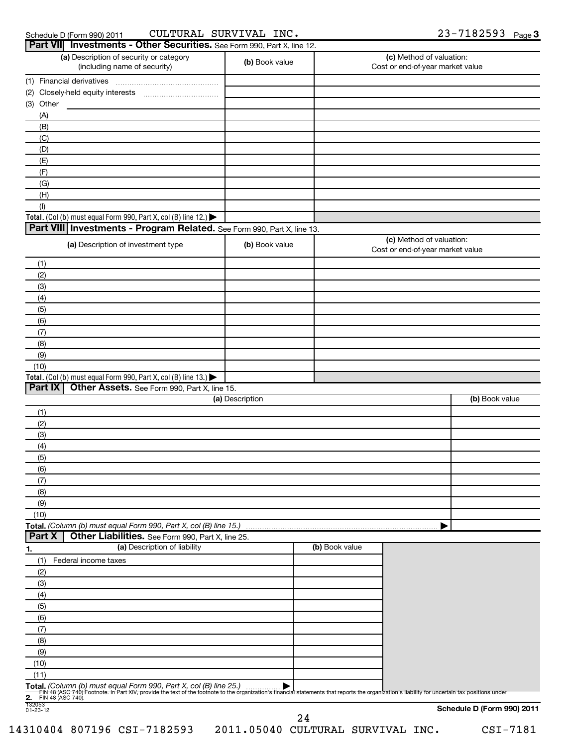| Schedule D (Form 990) 2011 |  |
|----------------------------|--|
|                            |  |

### Schedule D (Form 990) 2011 CULTURAL SURVIVAL INC • Z 3 - / I 8 Z 5 9 3 Page CULTURAL SURVIVAL INC. 23-7182593

|                                               | Part VII Investments - Other Securities. See Form 990, Part X, line 12.                                                                                                                                                                                               |                 |                |                                                              |                            |
|-----------------------------------------------|-----------------------------------------------------------------------------------------------------------------------------------------------------------------------------------------------------------------------------------------------------------------------|-----------------|----------------|--------------------------------------------------------------|----------------------------|
|                                               | (a) Description of security or category<br>(including name of security)                                                                                                                                                                                               | (b) Book value  |                | (c) Method of valuation:<br>Cost or end-of-year market value |                            |
|                                               | (1) Financial derivatives                                                                                                                                                                                                                                             |                 |                |                                                              |                            |
|                                               |                                                                                                                                                                                                                                                                       |                 |                |                                                              |                            |
| (3) Other                                     |                                                                                                                                                                                                                                                                       |                 |                |                                                              |                            |
| (A)                                           |                                                                                                                                                                                                                                                                       |                 |                |                                                              |                            |
| (B)                                           |                                                                                                                                                                                                                                                                       |                 |                |                                                              |                            |
| (C)                                           |                                                                                                                                                                                                                                                                       |                 |                |                                                              |                            |
| (D)                                           |                                                                                                                                                                                                                                                                       |                 |                |                                                              |                            |
| (E)                                           |                                                                                                                                                                                                                                                                       |                 |                |                                                              |                            |
| (F)                                           |                                                                                                                                                                                                                                                                       |                 |                |                                                              |                            |
| (G)<br>(H)                                    |                                                                                                                                                                                                                                                                       |                 |                |                                                              |                            |
| (1)                                           |                                                                                                                                                                                                                                                                       |                 |                |                                                              |                            |
|                                               | Total. (Col (b) must equal Form 990, Part X, col (B) line 12.) $\blacktriangleright$                                                                                                                                                                                  |                 |                |                                                              |                            |
|                                               | Part VIII Investments - Program Related. See Form 990, Part X, line 13.                                                                                                                                                                                               |                 |                |                                                              |                            |
|                                               | (a) Description of investment type                                                                                                                                                                                                                                    | (b) Book value  |                | (c) Method of valuation:<br>Cost or end-of-year market value |                            |
| (1)                                           |                                                                                                                                                                                                                                                                       |                 |                |                                                              |                            |
| (2)                                           |                                                                                                                                                                                                                                                                       |                 |                |                                                              |                            |
| (3)                                           |                                                                                                                                                                                                                                                                       |                 |                |                                                              |                            |
| (4)                                           |                                                                                                                                                                                                                                                                       |                 |                |                                                              |                            |
| (5)                                           |                                                                                                                                                                                                                                                                       |                 |                |                                                              |                            |
| (6)                                           |                                                                                                                                                                                                                                                                       |                 |                |                                                              |                            |
| (7)                                           |                                                                                                                                                                                                                                                                       |                 |                |                                                              |                            |
| (8)                                           |                                                                                                                                                                                                                                                                       |                 |                |                                                              |                            |
| (9)                                           |                                                                                                                                                                                                                                                                       |                 |                |                                                              |                            |
| (10)                                          |                                                                                                                                                                                                                                                                       |                 |                |                                                              |                            |
| Part IX                                       | Total. (Col (b) must equal Form 990, Part X, col (B) line 13.) $\blacktriangleright$<br>Other Assets. See Form 990, Part X, line 15.                                                                                                                                  |                 |                |                                                              |                            |
|                                               |                                                                                                                                                                                                                                                                       | (a) Description |                |                                                              | (b) Book value             |
| (1)                                           |                                                                                                                                                                                                                                                                       |                 |                |                                                              |                            |
| (2)                                           |                                                                                                                                                                                                                                                                       |                 |                |                                                              |                            |
| (3)                                           |                                                                                                                                                                                                                                                                       |                 |                |                                                              |                            |
| (4)                                           |                                                                                                                                                                                                                                                                       |                 |                |                                                              |                            |
| (5)                                           |                                                                                                                                                                                                                                                                       |                 |                |                                                              |                            |
| (6)                                           |                                                                                                                                                                                                                                                                       |                 |                |                                                              |                            |
| (7)                                           |                                                                                                                                                                                                                                                                       |                 |                |                                                              |                            |
| (8)                                           |                                                                                                                                                                                                                                                                       |                 |                |                                                              |                            |
| (9)                                           |                                                                                                                                                                                                                                                                       |                 |                |                                                              |                            |
| (10)                                          |                                                                                                                                                                                                                                                                       |                 |                |                                                              |                            |
| Part X                                        | Total. (Column (b) must equal Form 990, Part X, col (B) line 15.)<br>Other Liabilities. See Form 990, Part X, line 25.                                                                                                                                                |                 |                |                                                              |                            |
|                                               | (a) Description of liability                                                                                                                                                                                                                                          |                 | (b) Book value |                                                              |                            |
| <u>1.</u><br>(1)                              | Federal income taxes                                                                                                                                                                                                                                                  |                 |                |                                                              |                            |
| (2)                                           |                                                                                                                                                                                                                                                                       |                 |                |                                                              |                            |
| (3)                                           |                                                                                                                                                                                                                                                                       |                 |                |                                                              |                            |
| (4)                                           |                                                                                                                                                                                                                                                                       |                 |                |                                                              |                            |
| (5)                                           |                                                                                                                                                                                                                                                                       |                 |                |                                                              |                            |
| (6)                                           |                                                                                                                                                                                                                                                                       |                 |                |                                                              |                            |
| (7)                                           |                                                                                                                                                                                                                                                                       |                 |                |                                                              |                            |
| (8)                                           |                                                                                                                                                                                                                                                                       |                 |                |                                                              |                            |
| (9)                                           |                                                                                                                                                                                                                                                                       |                 |                |                                                              |                            |
| (10)                                          |                                                                                                                                                                                                                                                                       |                 |                |                                                              |                            |
| (11)                                          |                                                                                                                                                                                                                                                                       |                 |                |                                                              |                            |
|                                               | Total. (Column (b) must equal Form 990, Part X, col (B) line 25.)<br>Fily 48 (ASC 740) Footnote. In Part XIV, provide the text of the footnote to the organization's financial statements that reports the organization's liability for uncertain tax positions under |                 |                |                                                              |                            |
| 2.<br>FIN 48 (ASC 740).<br>132053<br>01-23-12 |                                                                                                                                                                                                                                                                       |                 |                |                                                              |                            |
|                                               |                                                                                                                                                                                                                                                                       |                 | 24             |                                                              | Schedule D (Form 990) 2011 |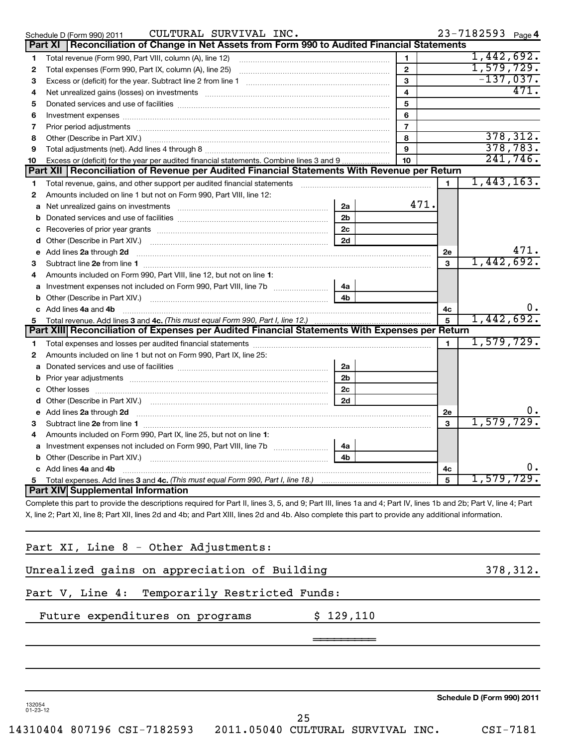|    | CULTURAL SURVIVAL INC.<br>Schedule D (Form 990) 2011                                                                                                             |                |                |                | 23-7182593 Page 4 |                |
|----|------------------------------------------------------------------------------------------------------------------------------------------------------------------|----------------|----------------|----------------|-------------------|----------------|
|    | Reconciliation of Change in Net Assets from Form 990 to Audited Financial Statements<br>Part XI                                                                  |                |                |                |                   |                |
| 1  | Total revenue (Form 990, Part VIII, column (A), line 12)                                                                                                         |                | 1              |                | 1,442,692.        |                |
| 2  |                                                                                                                                                                  |                |                |                | 1,579,729.        |                |
| З  |                                                                                                                                                                  |                | $\mathbf{3}$   |                | $-137,037.$       |                |
| 4  | Net unrealized gains (losses) on investments [11] matter continuum matter is a set of the set of the set of the                                                  |                | $\overline{4}$ |                |                   | 471.           |
| 5  |                                                                                                                                                                  |                | 5              |                |                   |                |
| 6  |                                                                                                                                                                  |                | 6              |                |                   |                |
| 7  | Prior period adjustments [ www.communications and contract to the contract of the contract of the contract of                                                    |                | $\overline{7}$ |                |                   |                |
| 8  |                                                                                                                                                                  |                | 8              |                |                   | 378, 312.      |
| 9  |                                                                                                                                                                  |                | 9              |                |                   | 378,783.       |
| 10 | Excess or (deficit) for the year per audited financial statements. Combine lines 3 and 9                                                                         |                | 10             |                |                   | 241,746.       |
|    | Part XII   Reconciliation of Revenue per Audited Financial Statements With Revenue per Return                                                                    |                |                |                |                   |                |
| 1  |                                                                                                                                                                  |                |                | $\mathbf{1}$   | 1,443,163.        |                |
| 2  | Amounts included on line 1 but not on Form 990, Part VIII, line 12:                                                                                              |                |                |                |                   |                |
| a  |                                                                                                                                                                  | 2a             | 471.           |                |                   |                |
| b  |                                                                                                                                                                  | 2 <sub>b</sub> |                |                |                   |                |
|    |                                                                                                                                                                  | 2 <sub>c</sub> |                |                |                   |                |
| d  |                                                                                                                                                                  | 2d             |                |                |                   |                |
| е  | Add lines 2a through 2d                                                                                                                                          |                |                |                |                   | 471.           |
| з  |                                                                                                                                                                  |                |                |                | 1,442,692.        |                |
| 4  | Amounts included on Form 990, Part VIII, line 12, but not on line 1:                                                                                             |                |                |                |                   |                |
|    | Investment expenses not included on Form 990, Part VIII, line 7b [11, 11, 11, 11, 11, 11]                                                                        | 4a             |                |                |                   |                |
| b  |                                                                                                                                                                  | 4 <sub>b</sub> |                |                |                   |                |
|    | c Add lines 4a and 4b                                                                                                                                            |                |                | 4с             |                   | $\mathbf{0}$ . |
| 5  | Total revenue. Add lines 3 and 4c. (This must equal Form 990, Part I, line 12.)                                                                                  |                |                | 5              | 1,442,692.        |                |
|    | Part XIII Reconciliation of Expenses per Audited Financial Statements With Expenses per Return                                                                   |                |                |                |                   |                |
| 1. |                                                                                                                                                                  |                |                | $\blacksquare$ | 1,579,729.        |                |
| 2  | Amounts included on line 1 but not on Form 990, Part IX, line 25:                                                                                                |                |                |                |                   |                |
|    |                                                                                                                                                                  | 2a             |                |                |                   |                |
| b  |                                                                                                                                                                  | 2 <sub>b</sub> |                |                |                   |                |
|    |                                                                                                                                                                  | 2c             |                |                |                   |                |
| d  |                                                                                                                                                                  | 2d             |                |                |                   |                |
|    | Add lines 2a through 2d                                                                                                                                          |                |                | 2e             |                   |                |
| з  |                                                                                                                                                                  |                |                | 3              | 1,579,729.        |                |
|    | Amounts included on Form 990, Part IX, line 25, but not on line 1:                                                                                               |                |                |                |                   |                |
|    | a Investment expenses not included on Form 990, Part VIII, line 7b [11, 11, 11, 11]                                                                              | 4a             |                |                |                   |                |
|    | <b>b</b> Other (Describe in Part XIV.).                                                                                                                          | 4b             |                |                |                   |                |
|    | c Add lines 4a and 4b                                                                                                                                            |                |                | 4с             |                   | 0.             |
| 5  | Total expenses. Add lines 3 and 4c. (This must equal Form 990, Part I, line 18.)                                                                                 |                |                | 5              | 579               |                |
|    | Part XIV Supplemental Information                                                                                                                                |                |                |                |                   |                |
|    | Complete this part to provide the descriptions required for Part II, lines 3, 5, and 9; Part III, lines 1a and 4; Part IV, lines 1b and 2b; Part V, line 4; Part |                |                |                |                   |                |
|    | X, line 2; Part XI, line 8; Part XII, lines 2d and 4b; and Part XIII, lines 2d and 4b. Also complete this part to provide any additional information.            |                |                |                |                   |                |
|    |                                                                                                                                                                  |                |                |                |                   |                |

| Part XI, Line 8 - Other Adjustments:          |           |          |
|-----------------------------------------------|-----------|----------|
| Unrealized gains on appreciation of Building  |           | 378,312. |
| Part V, Line 4: Temporarily Restricted Funds: |           |          |
| Future expenditures on programs               | \$129,110 |          |
|                                               |           |          |
|                                               |           |          |
|                                               |           |          |

**Schedule D (Form 990) 2011**

132054 01-23-12

14310404 807196 CSI-7182593 2011.05040 CULTURAL SURVIVAL INC. CSI-7181

25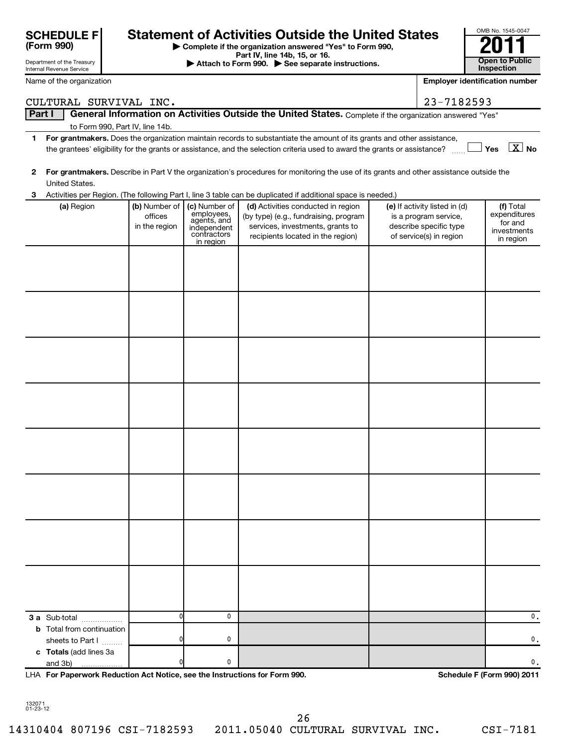|    | <b>SCHEDULE F</b><br>(Form 990)                        |                                           |                                                                                       | <b>Statement of Activities Outside the United States</b><br>Complete if the organization answered "Yes" to Form 990,                                                                                                                                 |                                                                                                             | OMB No. 1545-0047                                                |
|----|--------------------------------------------------------|-------------------------------------------|---------------------------------------------------------------------------------------|------------------------------------------------------------------------------------------------------------------------------------------------------------------------------------------------------------------------------------------------------|-------------------------------------------------------------------------------------------------------------|------------------------------------------------------------------|
|    | Department of the Treasury<br>Internal Revenue Service |                                           |                                                                                       | Part IV, line 14b, 15, or 16.<br>Attach to Form 990. See separate instructions.                                                                                                                                                                      |                                                                                                             | <b>Open to Public</b><br><b>Inspection</b>                       |
|    | Name of the organization                               |                                           |                                                                                       |                                                                                                                                                                                                                                                      |                                                                                                             | <b>Employer identification number</b>                            |
|    | CULTURAL SURVIVAL INC.                                 |                                           |                                                                                       |                                                                                                                                                                                                                                                      | 23-7182593                                                                                                  |                                                                  |
|    | Part I                                                 |                                           |                                                                                       | General Information on Activities Outside the United States. Complete if the organization answered "Yes"                                                                                                                                             |                                                                                                             |                                                                  |
|    |                                                        | to Form 990, Part IV, line 14b.           |                                                                                       |                                                                                                                                                                                                                                                      |                                                                                                             |                                                                  |
| 1. |                                                        |                                           |                                                                                       | For grantmakers. Does the organization maintain records to substantiate the amount of its grants and other assistance,<br>the grantees' eligibility for the grants or assistance, and the selection criteria used to award the grants or assistance? |                                                                                                             | Yes $\boxed{\text{X}}$ No                                        |
| 2  | United States.                                         |                                           |                                                                                       | For grantmakers. Describe in Part V the organization's procedures for monitoring the use of its grants and other assistance outside the                                                                                                              |                                                                                                             |                                                                  |
| 3  |                                                        |                                           |                                                                                       | Activities per Region. (The following Part I, line 3 table can be duplicated if additional space is needed.)                                                                                                                                         |                                                                                                             |                                                                  |
|    | (a) Region                                             | (b) Number of<br>offices<br>in the region | (c) Number of<br>employees,<br>agents, and<br>independent<br>contractors<br>in region | (d) Activities conducted in region<br>(by type) (e.g., fundraising, program<br>services, investments, grants to<br>recipients located in the region)                                                                                                 | (e) If activity listed in (d)<br>is a program service,<br>describe specific type<br>of service(s) in region | (f) Total<br>expenditures<br>for and<br>investments<br>in region |
|    |                                                        |                                           |                                                                                       |                                                                                                                                                                                                                                                      |                                                                                                             |                                                                  |
|    |                                                        |                                           |                                                                                       |                                                                                                                                                                                                                                                      |                                                                                                             |                                                                  |
|    |                                                        |                                           |                                                                                       |                                                                                                                                                                                                                                                      |                                                                                                             |                                                                  |
|    |                                                        |                                           |                                                                                       |                                                                                                                                                                                                                                                      |                                                                                                             |                                                                  |
|    |                                                        |                                           |                                                                                       |                                                                                                                                                                                                                                                      |                                                                                                             |                                                                  |
|    |                                                        |                                           |                                                                                       |                                                                                                                                                                                                                                                      |                                                                                                             |                                                                  |
|    |                                                        |                                           |                                                                                       |                                                                                                                                                                                                                                                      |                                                                                                             |                                                                  |
|    |                                                        |                                           |                                                                                       |                                                                                                                                                                                                                                                      |                                                                                                             |                                                                  |
|    |                                                        |                                           |                                                                                       |                                                                                                                                                                                                                                                      |                                                                                                             |                                                                  |
|    | 3 a Sub-total                                          | $\mathbf{0}$                              | 0                                                                                     |                                                                                                                                                                                                                                                      |                                                                                                             | 0.                                                               |
|    | <b>b</b> Total from continuation<br>sheets to Part I   | 0                                         | 0                                                                                     |                                                                                                                                                                                                                                                      |                                                                                                             | 0.                                                               |
|    | c Totals (add lines 3a<br>and 3b)                      | n                                         | 0                                                                                     |                                                                                                                                                                                                                                                      |                                                                                                             | 0.                                                               |

**For Paperwork Reduction Act Notice, see the Instructions for Form 990. Schedule F (Form 990) 2011** LHA

OMB No. 1545-0047

132071 01-23-12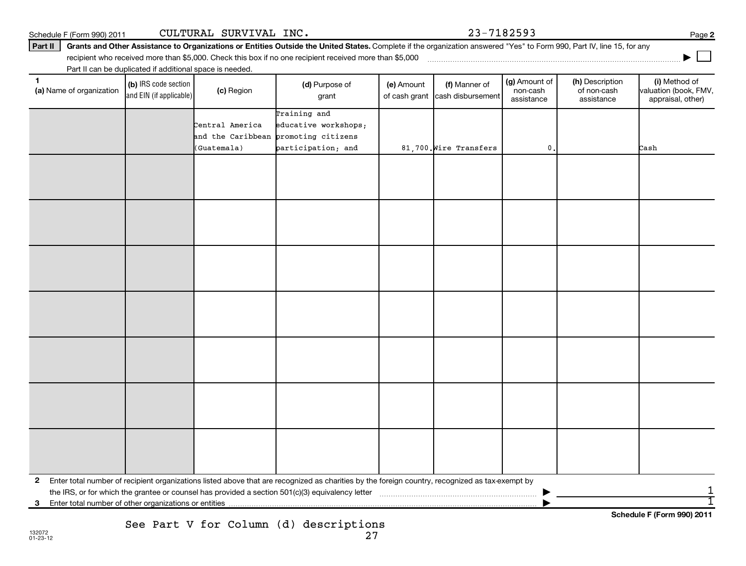**2** Enter total number of recipient organizations listed above that are recognized as charities by the foreign country, recognized as tax-exempt by the IRS, or for which the grantee or counsel has provided a section 501(c)(3) equivalency letter ~~~~~~~~~~~~~~~~~~~~~~~ |

27

**(a)** Name of organization (b) IRS code section (c) Region (c) Region (d) Purpose of (e) Amount (f) Manner of (g) Amount of (h) Description (i) (a) Name of organization (f) IRS code section (c) Region (d) Purpose of (d) Am (b) IRS code section and EIN (if applicable) (a) Name of organization (c) Region (d) Purpose of

Part II can be duplicated if additional space is needed.

| Schedule F (Form 990) 2011 | CULTURAL SURVIVAL INC. |  |
|----------------------------|------------------------|--|

### Part II | Grants and Other Assistance to Organizations or Entities Outside the United States. Complete if the organization answered "Yes" to Form 990, Part IV, line 15, for any

(e) Amount

of cash grant | cash disbursement

(f) Manner of

grant

recipient who received more than \$5,000. Check this box if no one recipient received more than \$5,000 ~~~~~~~~~~~~~~~~~~~~~~~~~~~~~~~~~~~~~

Training and Central America educative workshops; and the Caribbean promoting citizens (Guatemala) participation; and 191,700.Wire Transfers 1. 0. Cash

**3** Enter total number of other organizations or entities |

See Part V for Column (d) descriptions

**Schedule F (Form 990) 2011**

1 1

 $23 - 7182593$ 

(g) Amount of non-cash assistance

(h) Description of non-cash assistance

**2**

**|**

(i) Method of valuation (book, FMV, appraisal, other)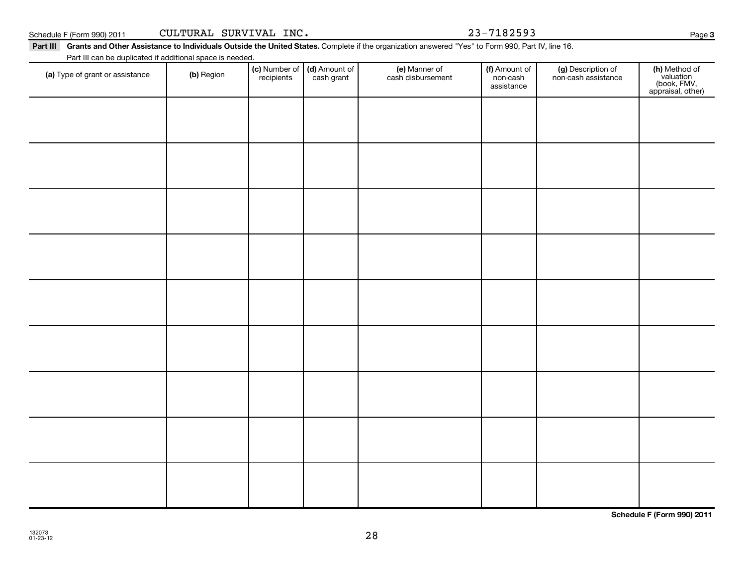**Schedule F (Form 990) 2011**

| 0) 2011 | CULTURAL |
|---------|----------|
|         |          |

Part III Grants and Other Assistance to Individuals Outside the United States. Complete if the organization answered "Yes" to Form 990, Part IV, line 16.

Part III can be duplicated if additional space is needed.

| Part in carr be duplicated if additional space is needed.<br>(a) Type of grant or assistance | (b) Region | (c) Number of<br>recipients | (d) Amount of<br>cash grant | (e) Manner of<br>cash disbursement | (f) Amount of<br>non-cash<br>assistance | (g) Description of<br>non-cash assistance | (h) Method of<br>valuation<br>(book, FMV,<br>appraisal, other) |
|----------------------------------------------------------------------------------------------|------------|-----------------------------|-----------------------------|------------------------------------|-----------------------------------------|-------------------------------------------|----------------------------------------------------------------|
|                                                                                              |            |                             |                             |                                    |                                         |                                           |                                                                |
|                                                                                              |            |                             |                             |                                    |                                         |                                           |                                                                |
|                                                                                              |            |                             |                             |                                    |                                         |                                           |                                                                |
|                                                                                              |            |                             |                             |                                    |                                         |                                           |                                                                |
|                                                                                              |            |                             |                             |                                    |                                         |                                           |                                                                |
|                                                                                              |            |                             |                             |                                    |                                         |                                           |                                                                |
|                                                                                              |            |                             |                             |                                    |                                         |                                           |                                                                |
|                                                                                              |            |                             |                             |                                    |                                         |                                           |                                                                |
|                                                                                              |            |                             |                             |                                    |                                         |                                           |                                                                |
|                                                                                              |            |                             |                             |                                    |                                         |                                           |                                                                |

28

**3**

VAL INC. 23-7182593

| Schedule F (Form 990) 2011 | INC.<br>SURVIVAL<br>CULTURAL | $73 - 7187507$<br>$23 -$<br>دودكە 1 | Page |
|----------------------------|------------------------------|-------------------------------------|------|
|----------------------------|------------------------------|-------------------------------------|------|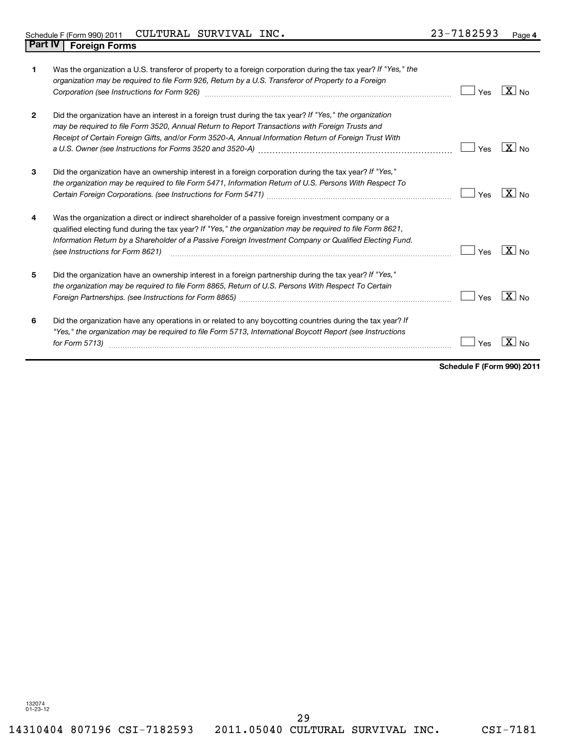|                | Was the organization a U.S. transferor of property to a foreign corporation during the tax year? If "Yes," the<br>organization may be required to file Form 926, Return by a U.S. Transferor of Property to a Foreign<br>Corporation (see Instructions for Form 926) [11] matter continuum matter of the Instruction (see Instructions                          | Yes | $X _{\text{No}}$  |
|----------------|-----------------------------------------------------------------------------------------------------------------------------------------------------------------------------------------------------------------------------------------------------------------------------------------------------------------------------------------------------------------|-----|-------------------|
| $\overline{2}$ | Did the organization have an interest in a foreign trust during the tax year? If "Yes," the organization<br>may be required to file Form 3520, Annual Return to Report Transactions with Foreign Trusts and<br>Receipt of Certain Foreign Gifts, and/or Form 3520-A, Annual Information Return of Foreign Trust With                                            | Yes | $X_{\text{No}}$   |
| 3              | Did the organization have an ownership interest in a foreign corporation during the tax year? If "Yes,"<br>the organization may be required to file Form 5471, Information Return of U.S. Persons With Respect To                                                                                                                                               | Yes | $\overline{X}$ No |
| 4              | Was the organization a direct or indirect shareholder of a passive foreign investment company or a<br>qualified electing fund during the tax year? If "Yes," the organization may be required to file Form 8621,<br>Information Return by a Shareholder of a Passive Foreign Investment Company or Qualified Electing Fund.<br>(see Instructions for Form 8621) | Yes | $X_{\text{No}}$   |
| 5              | Did the organization have an ownership interest in a foreign partnership during the tax year? If "Yes,"<br>the organization may be required to file Form 8865, Return of U.S. Persons With Respect To Certain                                                                                                                                                   | Yes | $\overline{X}$ No |
| 6              | Did the organization have any operations in or related to any boycotting countries during the tax year? If<br>"Yes," the organization may be required to file Form 5713, International Boycott Report (see Instructions<br>for Form 5713)                                                                                                                       | Yes | X.                |

**Schedule F (Form 990) 2011**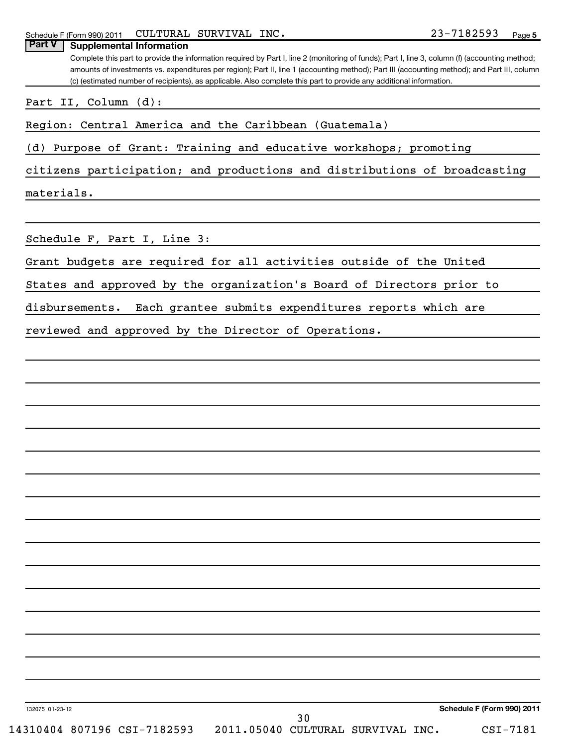Complete this part to provide the information required by Part I, line 2 (monitoring of funds); Part I, line 3, column (f) (accounting method; amounts of investments vs. expenditures per region); Part II, line 1 (accounting method); Part III (accounting method); and Part III, column (c) (estimated number of recipients), as applicable. Also complete this part to provide any additional information. **Part V** | Supplemental Information

Part II, Column (d):

Region: Central America and the Caribbean (Guatemala)

(d) Purpose of Grant: Training and educative workshops; promoting

citizens participation; and productions and distributions of broadcasting

materials.

Schedule F, Part I, Line 3:

Grant budgets are required for all activities outside of the United

States and approved by the organization's Board of Directors prior to

disbursements. Each grantee submits expenditures reports which are

reviewed and approved by the Director of Operations.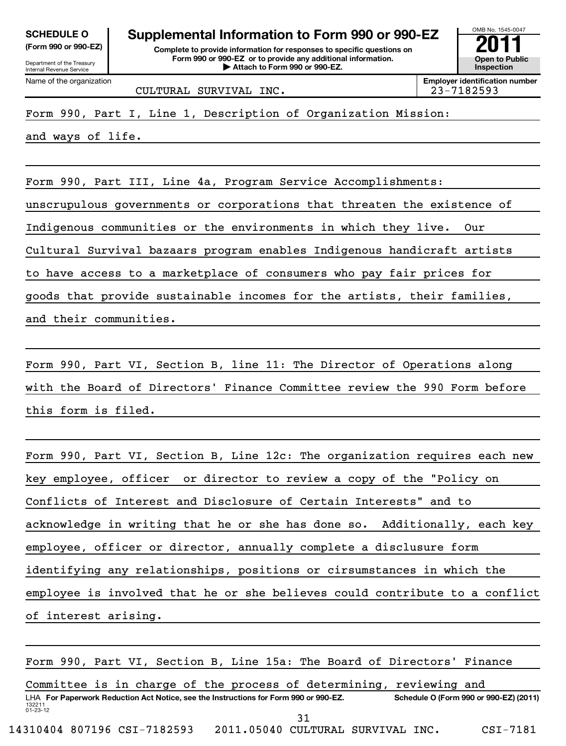| <b>SCHEDULE O</b> |          |  |
|-------------------|----------|--|
| ---               | $\cdots$ |  |

|  |  | $\mu$ or $\mu$ and $\sigma$ or $\sigma$ and $\sigma$ |  |
|--|--|------------------------------------------------------|--|
|  |  |                                                      |  |

Department of the Treasury Internal Revenue Service Name of the organization

# **Supplemental Information to Form 990 or 990-EZ**<br> **Complete to provide information for responses to specific questions on**<br> **Exam 990 or 990-EZ** or to provide any additional information.

**(Form 990 or 990-EZ) Complete to provide information for responses to specific questions on Form 990 or 990-EZ or to provide any additional information. | Attach to Form 990 or 990-EZ. Open to Public**

OMB No. 1545-0047 **Inspection**

**Employer identification number**

CULTURAL SURVIVAL INC. 23-7182593

Form 990, Part I, Line 1, Description of Organization Mission:

and ways of life.

Form 990, Part III, Line 4a, Program Service Accomplishments:

unscrupulous governments or corporations that threaten the existence of

Indigenous communities or the environments in which they live. Our

Cultural Survival bazaars program enables Indigenous handicraft artists

to have access to a marketplace of consumers who pay fair prices for

goods that provide sustainable incomes for the artists, their families,

and their communities.

Form 990, Part VI, Section B, line 11: The Director of Operations along with the Board of Directors' Finance Committee review the 990 Form before this form is filed.

Form 990, Part VI, Section B, Line 12c: The organization requires each new key employee, officer or director to review a copy of the "Policy on Conflicts of Interest and Disclosure of Certain Interests" and to acknowledge in writing that he or she has done so. Additionally, each key employee, officer or director, annually complete a disclusure form identifying any relationships, positions or cirsumstances in which the employee is involved that he or she believes could contribute to a conflict of interest arising.

132211 01-23-12 LHA For Paperwork Reduction Act Notice, see the Instructions for Form 990 or 990-EZ. Schedule O (Form 990 or 990-EZ) (2011) Form 990, Part VI, Section B, Line 15a: The Board of Directors' Finance Committee is in charge of the process of determining, reviewing and 14310404 807196 CSI-7182593 2011.05040 CULTURAL SURVIVAL INC. CSI-7181 31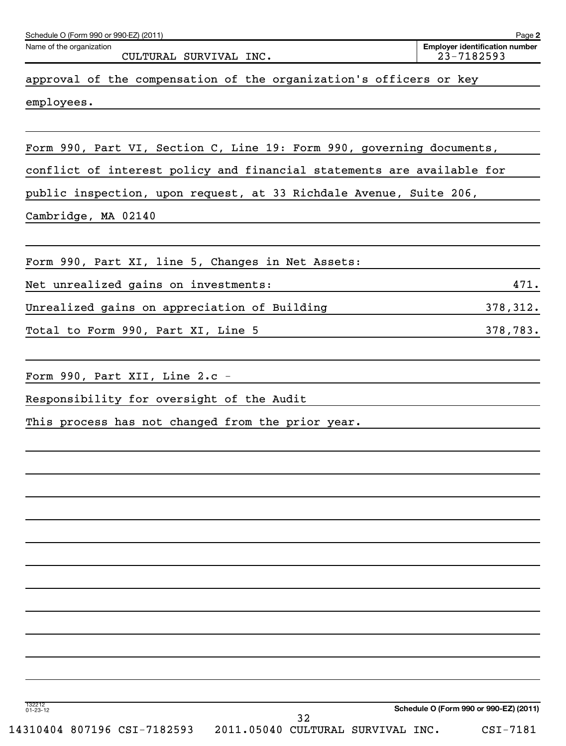| Schedule O (Form 990 or 990-EZ) (2011)<br>Name of the organization     | Page 2<br><b>Employer identification number</b> |
|------------------------------------------------------------------------|-------------------------------------------------|
| CULTURAL SURVIVAL INC.                                                 | 23-7182593                                      |
| approval of the compensation of the organization's officers or key     |                                                 |
| employees.                                                             |                                                 |
|                                                                        |                                                 |
| Form 990, Part VI, Section C, Line 19: Form 990, governing documents,  |                                                 |
| conflict of interest policy and financial statements are available for |                                                 |
| public inspection, upon request, at 33 Richdale Avenue, Suite 206,     |                                                 |
| Cambridge, MA 02140                                                    |                                                 |
|                                                                        |                                                 |
| Form 990, Part XI, line 5, Changes in Net Assets:                      |                                                 |
| Net unrealized gains on investments:                                   | 471.                                            |
| Unrealized gains on appreciation of Building                           | 378,312.                                        |
| Total to Form 990, Part XI, Line 5                                     | 378,783.                                        |
|                                                                        |                                                 |
| Form 990, Part XII, Line $2 \cdot c$ -                                 |                                                 |
| Responsibility for oversight of the Audit                              |                                                 |
| This process has not changed from the prior year.                      |                                                 |
|                                                                        |                                                 |
|                                                                        |                                                 |
|                                                                        |                                                 |
|                                                                        |                                                 |
|                                                                        |                                                 |
|                                                                        |                                                 |
|                                                                        |                                                 |
|                                                                        |                                                 |
|                                                                        |                                                 |
|                                                                        |                                                 |
|                                                                        |                                                 |
| 132212<br>01-23-12                                                     | Schedule O (Form 990 or 990-EZ) (2011)          |
| 32<br>2011.05040 CULTURAL SURVIVAL INC.<br>14310404 807196 CSI-7182593 | CSI-7181                                        |